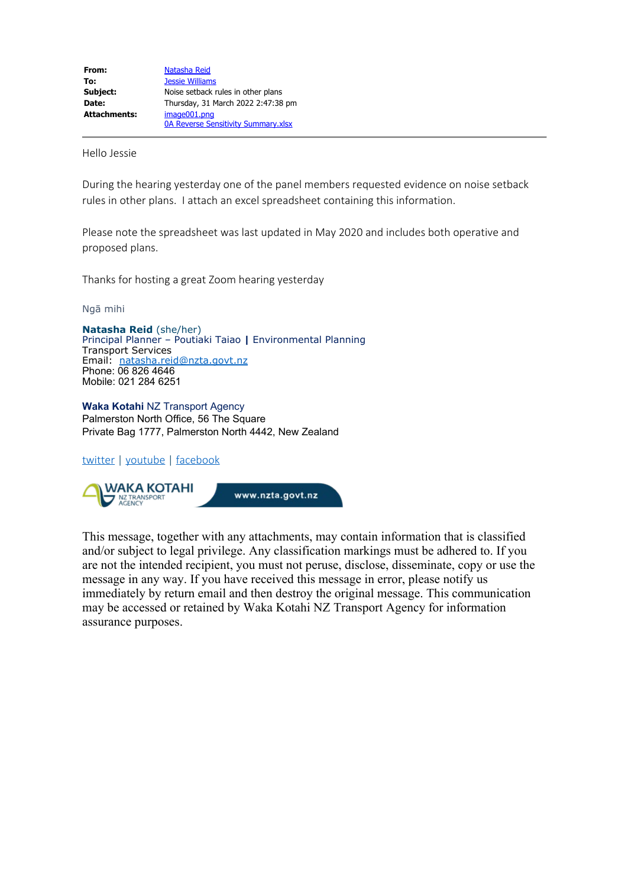Hello Jessie

During the hearing yesterday one of the panel members requested evidence on noise setback rules in other plans. I attach an excel spreadsheet containing this information.

Please note the spreadsheet was last updated in May 2020 and includes both operative and proposed plans.

Thanks for hosting a great Zoom hearing yesterday

Ngā mihi

**Natasha Reid** (she/her) Principal Planner – Poutiaki Taiao **|** Environmental Planning Transport Services Email: [natasha.reid@nzta.govt.nz](mailto:natasha.reid@nzta.govt.nz) Phone: 06 826 4646 Mobile: 021 284 6251

**Waka Kotahi** NZ Transport Agency Palmerston North Office, 56 The Square Private Bag 1777, Palmerston North 4442, New Zealand

## [twitter](https://twitter.com/WakaKotahi_news) | [youtube](https://www.youtube.com/user/NZTransportAgency) | [facebook](https://www.facebook.com/TransportAgency)



This message, together with any attachments, may contain information that is classified and/or subject to legal privilege. Any classification markings must be adhered to. If you are not the intended recipient, you must not peruse, disclose, disseminate, copy or use the message in any way. If you have received this message in error, please notify us immediately by return email and then destroy the original message. This communication may be accessed or retained by Waka Kotahi NZ Transport Agency for information assurance purposes.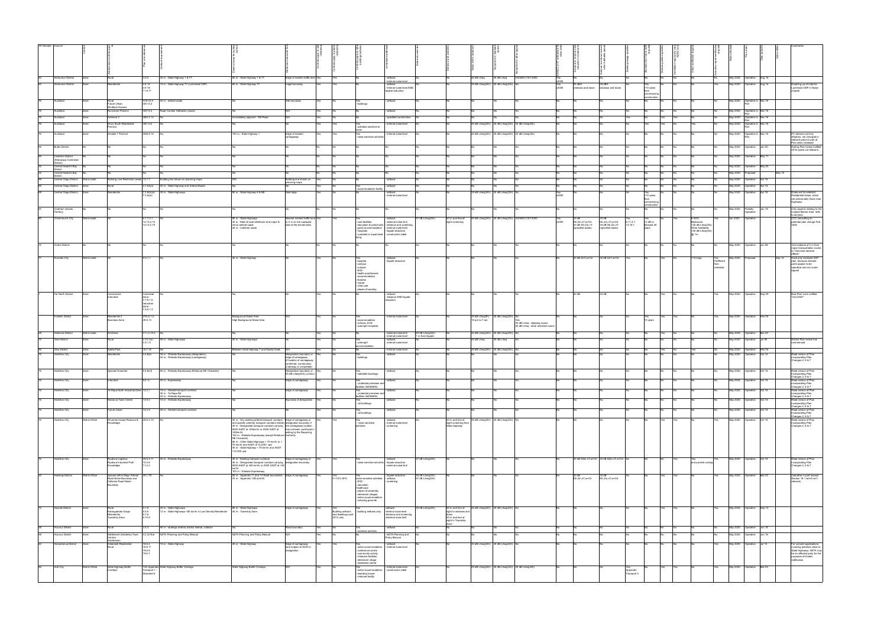|    | TA Number Council                                       |                      |                                                             |                                   |                                                                                                          |                                                                                                                                                        |                                                                               |     |                                 |                                                                    |                                                                                                  |                                    |                                                                             |                                                    |                              |                                                                   |              |                                                         |                                                         |                     |                           |            |                                              |                     |                                                         |                             |        |                                                                                           |
|----|---------------------------------------------------------|----------------------|-------------------------------------------------------------|-----------------------------------|----------------------------------------------------------------------------------------------------------|--------------------------------------------------------------------------------------------------------------------------------------------------------|-------------------------------------------------------------------------------|-----|---------------------------------|--------------------------------------------------------------------|--------------------------------------------------------------------------------------------------|------------------------------------|-----------------------------------------------------------------------------|----------------------------------------------------|------------------------------|-------------------------------------------------------------------|--------------|---------------------------------------------------------|---------------------------------------------------------|---------------------|---------------------------|------------|----------------------------------------------|---------------------|---------------------------------------------------------|-----------------------------|--------|-------------------------------------------------------------------------------------------|
|    |                                                         |                      |                                                             |                                   |                                                                                                          |                                                                                                                                                        |                                                                               |     |                                 |                                                                    |                                                                                                  |                                    |                                                                             |                                                    |                              |                                                                   |              |                                                         |                                                         |                     |                           |            |                                              |                     |                                                         |                             |        |                                                                                           |
|    |                                                         |                      |                                                             |                                   |                                                                                                          |                                                                                                                                                        |                                                                               |     |                                 |                                                                    |                                                                                                  |                                    |                                                                             |                                                    |                              |                                                                   |              |                                                         |                                                         |                     |                           |            |                                              |                     |                                                         |                             |        |                                                                                           |
|    | Ashburton District                                      | Zone                 | Rural                                                       | 3.9.4                             | 20 m - State Highway 1 & 77                                                                              | 80 m - State Highway 1 & 77                                                                                                                            | Edge of nearest traffic lane Yes                                              |     | Yes                             |                                                                    | setback                                                                                          |                                    |                                                                             | 40 dB LAeq                                         | 45 dB LAeq                   | AS/NZS 2107:2000                                                  | Yes          |                                                         |                                                         |                     |                           |            |                                              |                     | May 2020 Operative Aug 14                               |                             |        |                                                                                           |
|    | Ashburton District                                      | Zone                 | tesidential                                                 | 4.9.14<br>4.9.18                  | 15 m - State Highway 77 (Lochhead ODP)                                                                   | 80 m - State Highway 77                                                                                                                                | egal boundary                                                                 | Yes | Yes                             |                                                                    | internal noise level<br>setback<br>internal noise level AND                                      |                                    |                                                                             | 35 dB LAeq(24h) 40 dB LAeq(24h)                    |                              |                                                                   | Yes<br>v2000 | 25 dBA<br>windows and doors                             | 25 dBA<br>windows and doors                             |                     | Yes<br>>10 years          |            |                                              |                     | May 2020 Operative Aug 14                               |                             |        | Doubling up of rules for<br>Lochhead ODP in Noise                                         |
|    |                                                         |                      |                                                             | 11.8.11                           |                                                                                                          |                                                                                                                                                        |                                                                               |     |                                 |                                                                    | açade reduction                                                                                  |                                    |                                                                             |                                                    |                              |                                                                   |              |                                                         |                                                         |                     | construction              |            |                                              |                     |                                                         |                             |        | chapter                                                                                   |
|    | Auckland                                                |                      | Rural<br>Future Urban                                       | H19.10.3<br>1441.6.2              | 20 m - arterial roads                                                                                    |                                                                                                                                                        | Site boundary                                                                 |     |                                 | Yes<br>- buildings                                                 | setback                                                                                          |                                    |                                                                             |                                                    |                              |                                                                   |              |                                                         |                                                         |                     |                           |            |                                              |                     | May 2020                                                | Operative in Nov 16         |        |                                                                                           |
|    | Auckland                                                |                      | <b>Whitford Precinct</b><br><b>Inciman Precinc</b>          | 1437.6.3                          | Road Corridor Setbacks (visual)                                                                          |                                                                                                                                                        |                                                                               |     |                                 |                                                                    | setback                                                                                          |                                    |                                                                             |                                                    |                              |                                                                   |              |                                                         |                                                         |                     |                           |            |                                              |                     | May 2020                                                | Operative in Nov 16<br>Part |        |                                                                                           |
|    | Auckland<br>Auckland                                    |                      | dmore 2<br>Drury South Residential                          | 1452.4.13<br>1451.6.2             |                                                                                                          | nediately adjacent - Mill Road                                                                                                                         |                                                                               |     | Yes                             |                                                                    | specified construction<br>nternal noise level                                                    |                                    |                                                                             | 40 dB LAeq(24h) 40 dB LAeq(24h) 40 dB LAeq(24h)    |                              |                                                                   |              |                                                         |                                                         |                     | Yes<br>Yes                |            |                                              |                     | May 2020 Operative in Nov 16<br>Part<br><b>May 2020</b> | Operative in Nov 16         |        |                                                                                           |
|    |                                                         |                      |                                                             |                                   |                                                                                                          |                                                                                                                                                        |                                                                               |     |                                 | activities sensitive to                                            |                                                                                                  |                                    |                                                                             |                                                    |                              |                                                                   |              |                                                         |                                                         |                     |                           |            |                                              |                     |                                                         |                             |        |                                                                                           |
|    | Auckland                                                |                      | Smales 1 Precinct                                           | 1538.6.10                         |                                                                                                          | 100 m - State Highway 1                                                                                                                                | Edge of nearest<br>rriageway                                                  |     | Yes                             | Yes<br>noise sensitive activities                                  | internal noise level                                                                             |                                    |                                                                             |                                                    |                              | 40 dB LAeq(24h) 40 dB LAeq(24h) 40 dB LAeq(24h)                   |              | <b>INo</b>                                              |                                                         |                     |                           |            |                                              |                     | May 2020 Operative in Nov 16                            |                             |        | PC decision sent by<br>Stephen, not changed in<br>relevant precinct part of               |
|    | <b>Buller District</b>                                  |                      |                                                             |                                   |                                                                                                          |                                                                                                                                                        |                                                                               |     |                                 |                                                                    |                                                                                                  |                                    |                                                                             |                                                    |                              |                                                                   |              |                                                         |                                                         |                     |                           |            |                                              |                     | May 2020                                                | Operative                   | Jan 00 | Plan when reviewed<br>Rolling Plan review notifie<br>2016 (parts not relevant)            |
|    | Carterton District                                      |                      |                                                             |                                   |                                                                                                          |                                                                                                                                                        |                                                                               |     |                                 |                                                                    |                                                                                                  |                                    |                                                                             |                                                    |                              |                                                                   |              |                                                         |                                                         |                     |                           |            |                                              |                     | May 2020                                                | perative                    | May 1  |                                                                                           |
|    | (Wairarapa Combined<br>(istrict)<br>Central Hawke's Bay |                      |                                                             |                                   |                                                                                                          |                                                                                                                                                        |                                                                               |     |                                 |                                                                    |                                                                                                  |                                    |                                                                             |                                                    |                              |                                                                   |              |                                                         |                                                         |                     |                           |            |                                              |                     | May 2020                                                | Operative                   | May 03 |                                                                                           |
|    | istrict<br>Central Hawke's Bay                          |                      |                                                             |                                   |                                                                                                          |                                                                                                                                                        |                                                                               |     |                                 |                                                                    |                                                                                                  |                                    |                                                                             |                                                    |                              |                                                                   |              |                                                         |                                                         |                     |                           |            |                                              |                     | May 2020                                                | Proposed                    | May 19 |                                                                                           |
|    | Central Otago District                                  | )istrict wide        | Building Line Restriction areas 12.7.7                      |                                   | Building line shown on planning maps                                                                     |                                                                                                                                                        | suilding line shown on<br>olanning maps                                       |     |                                 |                                                                    | setback                                                                                          |                                    |                                                                             |                                                    |                              |                                                                   |              |                                                         |                                                         |                     |                           |            |                                              |                     | May 2020                                                | Operative Apr 18            |        |                                                                                           |
|    | Central Otago District<br>Central Otago District        | Zone                 | tesidentia                                                  | l.7.6A(a)<br>'.3.6(iii)(d)        | 20 m - State Highway and Arterial Roads<br>30 m - State Highways                                         | 80 m - State Highway 6 & 8B                                                                                                                            | Seal edge                                                                     |     |                                 | accommodation facility                                             | setback<br>setback                                                                               |                                    |                                                                             | 35 dB LAeq(24h) 40 dB LAeq(24h)                    |                              |                                                                   | Yes          |                                                         |                                                         |                     |                           |            |                                              |                     | May 2020<br>May 2020 Operative Apr 18                   | Operative Apr 18            |        | Rules are for selected                                                                    |
|    |                                                         |                      |                                                             | 7.3.6(xii)                        |                                                                                                          |                                                                                                                                                        |                                                                               |     |                                 |                                                                    | internal noise level                                                                             |                                    |                                                                             |                                                    |                              |                                                                   | V2000        |                                                         |                                                         |                     | >10 years<br>commencin    |            |                                              |                     |                                                         |                             |        | Residential Areas, which<br>are presumably those near<br>Highways                         |
|    | Chatham Islands                                         |                      |                                                             |                                   |                                                                                                          |                                                                                                                                                        |                                                                               |     |                                 |                                                                    |                                                                                                  |                                    |                                                                             |                                                    |                              |                                                                   |              |                                                         |                                                         |                     | nstructio                 |            |                                              |                     | May 2020 Partially Jan 18                               |                             |        | Only aspects relating to the<br>Coastal Marine Area refer                                 |
|    | erritory<br>Christchurch City                           | <b>District wide</b> |                                                             | 6.1.7.2.1                         |                                                                                                          | 80 m - State Highways                                                                                                                                  | earest marked traffic lane Yes                                                |     |                                 |                                                                    | setback                                                                                          | dB LAeq(24h)                       | 50 m and line-of-                                                           |                                                    |                              | 40 dB LAeq(24h) 40 dB LAeq(24h) AS/NZS 2107:2000                  |              | 30 dB                                                   | 30 dB                                                   |                     |                           |            | 6 ACH                                        |                     | Apr 2020 Operative                                      |                             |        | to old plan<br>CCC consulting on                                                          |
|    |                                                         |                      |                                                             | 14.13.3.10<br>14.14.2.10          |                                                                                                          | 40 m - Main & local distributor and major &<br>minor arterial roads<br>20 m - Collector roads                                                          | or 2 m on the roadward<br>ide of the formed kerb                              |     |                                 | care facilities<br>education & preschools                          | external noise limit<br>- distance and screening<br>- guest accommodation - internal noise level |                                    | sight screening                                                             |                                                    |                              |                                                                   | Yes<br>v2000 | Dtr,2m,nT,w+Ctr<br>30 dB Dtr,2m,nT<br>(specified areas) | Dtr,2m,nT,w+Ctr<br>30 dB Dtr,2m,nT<br>(specified areas) | 6.11.4.1<br>14.16.1 | $+2$ dB or<br>forecast 20 |            | Bedrooms:<br><35 dB LAeq(30s)                |                     |                                                         |                             |        | potential plan change Feb                                                                 |
|    |                                                         |                      |                                                             |                                   |                                                                                                          |                                                                                                                                                        |                                                                               |     |                                 | hospitals<br>- custodial or supervised - construction table        | - façade reduction                                                                               |                                    |                                                                             |                                                    |                              |                                                                   |              |                                                         |                                                         |                     |                           |            | Other habitable:<br><40 dB LAeq(30s)<br>@ 1m |                     |                                                         |                             |        |                                                                                           |
|    | Clutha District                                         |                      |                                                             |                                   |                                                                                                          |                                                                                                                                                        |                                                                               |     |                                 |                                                                    |                                                                                                  |                                    |                                                                             |                                                    |                              |                                                                   |              |                                                         |                                                         |                     |                           |            |                                              |                     |                                                         | May 2020  Operative  Jun 98 |        | Yard setback of 5 m from                                                                  |
|    |                                                         |                      |                                                             |                                   |                                                                                                          |                                                                                                                                                        |                                                                               |     |                                 |                                                                    |                                                                                                  |                                    |                                                                             |                                                    |                              |                                                                   |              |                                                         |                                                         |                     |                           |            |                                              |                     |                                                         |                             |        | major transportation routes<br>to "minimise adverse<br>effects"                           |
|    | Dunedin City                                            | District wide        |                                                             | 9.3.1.1                           |                                                                                                          | 40 m - State Highway                                                                                                                                   |                                                                               |     |                                 | hospital                                                           | setback<br>façade reduction                                                                      |                                    |                                                                             |                                                    |                              |                                                                   |              |                                                         | 30 dB DnT,w+Ctr 30 dB DnT,w+Ctr                         |                     | Yes                       |            | 7.5 Vs/pp                                    | Yes<br>If different | May 2020                                                | Proposed                    |        | Have only reviewed 2GF<br>plan, because relevant                                          |
|    |                                                         |                      |                                                             |                                   |                                                                                                          |                                                                                                                                                        |                                                                               |     |                                 | campus<br>- schools<br>- ECE                                       |                                                                                                  |                                    |                                                                             |                                                    |                              |                                                                   |              |                                                         |                                                         |                     |                           |            |                                              | schedule            |                                                         |                             |        | parts appear to be<br>operative and not under                                             |
|    |                                                         |                      |                                                             |                                   |                                                                                                          |                                                                                                                                                        |                                                                               |     |                                 | - health practitioners<br>- accommodation<br>- libraries           |                                                                                                  |                                    |                                                                             |                                                    |                              |                                                                   |              |                                                         |                                                         |                     |                           |            |                                              |                     |                                                         |                             |        |                                                                                           |
|    |                                                         |                      |                                                             |                                   |                                                                                                          |                                                                                                                                                        |                                                                               |     |                                 | - marae<br>- child care                                            |                                                                                                  |                                    |                                                                             |                                                    |                              |                                                                   |              |                                                         |                                                         |                     |                           |            |                                              |                     |                                                         |                             |        |                                                                                           |
|    | Far North District                                      | Zons                 | Commerci<br>ndustrial                                       | Comercia                          |                                                                                                          |                                                                                                                                                        |                                                                               |     |                                 | - places of worship                                                | distance AND façade                                                                              |                                    |                                                                             |                                                    |                              |                                                                   |              | 30 dB                                                   | 20dB                                                    |                     |                           |            |                                              |                     | May 2020 Operative Sep 09                               |                             |        | New Plan to be notified<br>"mid 2020"                                                     |
|    |                                                         |                      |                                                             | Zone -<br>7.7.5.1.5<br>Industrial |                                                                                                          |                                                                                                                                                        |                                                                               |     |                                 |                                                                    |                                                                                                  |                                    |                                                                             |                                                    |                              |                                                                   |              |                                                         |                                                         |                     |                           |            |                                              |                     |                                                         |                             |        |                                                                                           |
|    |                                                         |                      |                                                             | Zone -<br>7.8.5.1.3               |                                                                                                          |                                                                                                                                                        |                                                                               |     |                                 |                                                                    |                                                                                                  |                                    |                                                                             |                                                    |                              |                                                                   |              |                                                         |                                                         |                     |                           |            |                                              |                     |                                                         |                             |        |                                                                                           |
|    | ranklin District                                        | Zone                 | Residential 2<br>Business Zone                              | 27A.6.1.2<br>29.5.13              |                                                                                                          | Background Noise Area<br>High Background Noise Area                                                                                                    |                                                                               |     |                                 | Yes<br>accommodation                                               | internal noise level                                                                             |                                    |                                                                             | 35 dB LAeq(9h) 45 dB LAeq(24h) No<br>10 pm to 7 am |                              |                                                                   |              |                                                         |                                                         |                     | Yes<br>Yes<br>10 years    |            |                                              | Yes                 | May 2020 Operative Feb 00                               |                             |        |                                                                                           |
|    |                                                         |                      |                                                             |                                   |                                                                                                          |                                                                                                                                                        |                                                                               |     |                                 | - schools, ECE<br>overnight hospitals                              |                                                                                                  |                                    |                                                                             |                                                    |                              | 35 dB LAeq - sleeping rooms<br>45 dB LAeq - other sensitive rooms |              |                                                         |                                                         |                     |                           |            |                                              |                     |                                                         |                             |        |                                                                                           |
|    | sborne District<br>Gore District                        | District wide        | All Zones<br>Rural                                          | C11.2.15.5<br>4.14.1(e)           |                                                                                                          |                                                                                                                                                        |                                                                               |     |                                 |                                                                    | external noise limit<br>internal noise level<br>setback                                          | 60 dB LAeq(24h)<br>1 m from façade |                                                                             | 40 dB LAeq(24h)<br>40 dB LAeq                      | 40 dB LAeq(24)<br>40 dB LAeq |                                                                   |              |                                                         |                                                         |                     | Yes                       |            |                                              |                     | May 2020<br>May 2020 Operative Jul 06                   | Operative                   | Mar 20 |                                                                                           |
|    |                                                         |                      |                                                             | 4.5.1.5                           | 50 m - State Highways                                                                                    | 50 m - State Highways                                                                                                                                  |                                                                               |     |                                 | overnight                                                          | internal noise level                                                                             |                                    |                                                                             |                                                    |                              |                                                                   |              |                                                         |                                                         |                     |                           |            |                                              |                     |                                                         |                             |        | District Plan review has<br>nmenced                                                       |
|    | <b>Grey District</b><br>amilton City                    | Zone                 | Kaiata Park<br>dentia                                       | 16.7.16<br>4.4.6(b)               | 35 m - Waikato Expressway (designation                                                                   | Between State Highway 7 and Kaiata Creek                                                                                                               | N/A<br>esignation boundary or                                                 |     |                                 | <b>No</b><br>Yes<br>- buildings                                    | internal noise level<br>setback                                                                  |                                    |                                                                             | 35 dB LAeq(24h) 40 dB LAeq(24h) No                 |                              |                                                                   |              | <b>No</b>                                               |                                                         |                     | Yes                       | <b>INo</b> |                                              |                     | May 2020 Operative Feb 05                               | May 2020 Operative Oct 18   |        | Read version of Plan                                                                      |
|    |                                                         |                      |                                                             |                                   | 40 m - Waikato Expressway (carriageway)                                                                  |                                                                                                                                                        | edge of carriageway<br>(if location of carriageway<br>confirmed, construction |     |                                 |                                                                    |                                                                                                  |                                    |                                                                             |                                                    |                              |                                                                   |              |                                                         |                                                         |                     |                           |            |                                              |                     |                                                         |                             |        | incorporating Plan<br>Changes 2, 6 & 7                                                    |
|    | Hamilton City                                           | Zone                 | Special Character                                           | 5.4.6c(f)                         | 65 m - Walkato Expressway (Rototuna NE Character)                                                        |                                                                                                                                                        | inderway or completed<br>Designation boundary or<br>55 dB LAeq(24hr) contour  |     |                                 | - habitable buildings                                              | setback                                                                                          |                                    |                                                                             |                                                    |                              |                                                                   |              |                                                         |                                                         |                     |                           |            |                                              |                     | May 2020 Operative                                      |                             | Oct 18 | Read version of Plan<br>incorporating Plan                                                |
|    | <b>Hamilton City</b>                                    | Zone                 | ndustrial                                                   | 9.4.1c                            | 40 m - Expressway                                                                                        |                                                                                                                                                        | Edge of carriageway                                                           |     |                                 |                                                                    | setback                                                                                          |                                    |                                                                             |                                                    |                              |                                                                   |              |                                                         |                                                         |                     |                           |            |                                              |                     | May 2020 Operative Oct 18                               |                             |        | anges 2, 6 & 7<br>Read version of Plan                                                    |
|    | Hamilton City                                           |                      | Te Rapa North Industrial Zone 12.4.1                        |                                   | 15 m - Arterial transport corridors                                                                      |                                                                                                                                                        | Edge of carriageway                                                           |     |                                 | protected premises and<br>facilities (NZS6806)                     | setback                                                                                          |                                    |                                                                             |                                                    |                              |                                                                   |              |                                                         |                                                         |                     |                           |            |                                              |                     | May 2020 Operative                                      |                             | Oct 18 | incorporating Plan<br>Changes 2, 6 & 7<br>Read version of Plan                            |
|    |                                                         |                      |                                                             |                                   | 30 m - Te Rapa Rd<br>40 m - Waikato Expressway                                                           |                                                                                                                                                        |                                                                               |     |                                 | protected premises an<br>facilities (NZS6806)                      |                                                                                                  |                                    |                                                                             |                                                    |                              |                                                                   |              |                                                         |                                                         |                     |                           |            |                                              |                     |                                                         |                             |        | incorporating Plan<br>Changes 2, 6 & 7                                                    |
|    | Hamilton City                                           |                      | Rototuna Town Centre                                        | 13.9.3                            | 15 m - Waikato Expressway                                                                                |                                                                                                                                                        | oundary of designation                                                        |     |                                 | - all buildings                                                    | setback                                                                                          |                                    |                                                                             |                                                    |                              |                                                                   |              |                                                         |                                                         |                     |                           |            |                                              |                     | May 2020 Operative Oct 18                               |                             |        | Read version of Plan<br>incorporating Plan<br>Changes 2, 6 & 7                            |
|    | Hamilton City                                           | Zone                 | Future Urban                                                | 14.4.5                            | 25 m - Arterial transport corridors                                                                      |                                                                                                                                                        |                                                                               |     |                                 | - all buildings                                                    | setback                                                                                          |                                    |                                                                             |                                                    |                              |                                                                   |              | No                                                      |                                                         |                     |                           |            |                                              |                     | May 2020 Operative Oct 18                               |                             |        | Read version of Plan<br>incorporating Plan<br>Changes 2, 6 & 7                            |
|    | Hamilton City                                           | District Wide        | All zones except Ruakura & 25.8.3.10<br>nowledge            |                                   |                                                                                                          | 40 m - Any existing arterial transport corridors Edge of carriageway or<br>and specific collector transport corridors (listed) designation boundary if |                                                                               |     |                                 | - noise sensitive                                                  | setback<br>internal noise level                                                                  |                                    | 40 m and line of<br>sight screening from                                    | 35 dB LAeq(24h) 40 dB LAeq(24h) No                 |                              |                                                                   |              |                                                         |                                                         |                     | Yes                       |            |                                              |                     | May 2020 Operative Oct 18                               |                             |        | Read version of Plan<br>incorporating Plan                                                |
|    |                                                         |                      |                                                             |                                   |                                                                                                          | 40 m - Designated transport corridors carrying the carriageway location<br>5000 AADT at <50km/hr or 2000 AADT at has not been confirmed in<br>>50km/hr | writing by the Requiring                                                      |     |                                 | activities                                                         | screening                                                                                        |                                    | State Highway                                                               |                                                    |                              |                                                                   |              |                                                         |                                                         |                     |                           |            |                                              |                     |                                                         |                             |        | Changes 2, 6 & 7                                                                          |
|    |                                                         |                      |                                                             |                                   |                                                                                                          | 100 m - Waikato Expressway (except Rototuna Authority<br>NE Character)<br>80 m - Other State Highways > 70 km/hr or <                                  |                                                                               |     |                                 |                                                                    |                                                                                                  |                                    |                                                                             |                                                    |                              |                                                                   |              |                                                         |                                                         |                     |                           |            |                                              |                     |                                                         |                             |        |                                                                                           |
|    |                                                         |                      |                                                             |                                   |                                                                                                          | 70 km/hr and AADT of 10,000+ vpd<br>40 m - State Highway < 70 km/hr and AADT<br><10,000 vpd                                                            |                                                                               |     |                                 |                                                                    |                                                                                                  |                                    |                                                                             |                                                    |                              |                                                                   |              |                                                         |                                                         |                     |                           |            |                                              |                     |                                                         |                             |        |                                                                                           |
|    | Hamilton City                                           | Zone                 | Ruakura Logistics                                           | 25.8.3.11                         | 40 m - Waikato Expressway                                                                                | 40 m - Existing transport corridors                                                                                                                    | Edge of carriageway or                                                        |     | Yes                             |                                                                    | setback                                                                                          | 57 dB LAeq(24h)                    |                                                                             |                                                    |                              |                                                                   |              |                                                         | 30 dB D2m,nT,w+Ctr 30 dB D2m,nT,w+Ctr No                |                     |                           |            |                                              |                     | May 2020 Operative Oct 18                               |                             |        | Read version of Plan                                                                      |
|    |                                                         |                      | Ruakura Industrial Park<br>Knowledge                        | 10.4.6<br>11.4.3                  |                                                                                                          | 40 m - Designated transport corridors carrying designation boundary<br>5000 AADT at ≤50 km/hr or 2000 AADT at >50                                      |                                                                               |     |                                 | noise sensitive activities - facade reduction                      | external noise limit                                                                             |                                    |                                                                             |                                                    |                              |                                                                   |              |                                                         |                                                         |                     |                           |            | and provide cooling                          |                     |                                                         |                             |        | incorporating Plan<br>Changes 2, 6 & 7                                                    |
|    | Hastings District                                       | District Wide        | Spaces within Major Arterial 25.1.7D                        |                                   |                                                                                                          | 100 m - Waikato Expressway<br>80 m - Appendix 11 and 14 Road boundaries Edge of carriageway                                                            |                                                                               |     | Yes                             | Yes                                                                | - façade reduction                                                                               | 55 dB LAeq(24h)                    |                                                                             |                                                    |                              |                                                                   |              | 30 dB                                                   | 30 dB                                                   |                     | Yes                       |            |                                              |                     | May 2020 Operative                                      |                             | Mar 20 | Operative in part (except                                                                 |
|    |                                                         |                      | Road Noise Boundary and<br>Collector Road Noise<br>Boundary |                                   |                                                                                                          | 75 m - Appendix 13B and 80                                                                                                                             |                                                                               |     | if >10% GFA                     | noise sensitive activities: - setback<br>- ECE<br>- education      | screening                                                                                        | 57 dB LAeq(24h)                    |                                                                             |                                                    |                              |                                                                   |              | Dtr,2m,nT,w+Ctr                                         | Dtr,2m,nT,w+Ctr                                         |                     |                           |            |                                              |                     |                                                         |                             |        | Section 16.1 which isn't<br>relevant)                                                     |
|    |                                                         |                      |                                                             |                                   |                                                                                                          |                                                                                                                                                        |                                                                               |     |                                 | -healthcare<br>- places of assembly<br>retirement villages         |                                                                                                  |                                    |                                                                             |                                                    |                              |                                                                   |              |                                                         |                                                         |                     |                           |            |                                              |                     |                                                         |                             |        |                                                                                           |
|    |                                                         |                      |                                                             |                                   |                                                                                                          |                                                                                                                                                        |                                                                               |     |                                 | visitor accommodation<br>camping grounds                           |                                                                                                  |                                    |                                                                             |                                                    |                              |                                                                   |              |                                                         |                                                         |                     |                           |            |                                              |                     |                                                         |                             |        |                                                                                           |
|    | Hauraki District                                        | Zone                 | Karangahake Gorge                                           | 5.1.5<br>5.5.5                    | 20 m - State Highways<br>12 m - State Highways <80 km/hr in Low Density Residential 40 m - Township Zone | 80 m - State Highways                                                                                                                                  | Edge of carriageway                                                           |     | Building setback                | building setback only                                              | setback<br>-internal noise level                                                                 | 55 dB LAeq(24h)                    | 50 m and line of 40 dB LAeq(24h) 40 dB LAeq(24h) No<br>sight to windows and |                                                    |                              |                                                                   |              |                                                         |                                                         |                     | Yes                       |            |                                              |                     | May 2020 Operative Sep 14                               |                             |        |                                                                                           |
|    |                                                         |                      | Residential<br>Township Zone                                | 5.7.5<br>5.10.5                   |                                                                                                          |                                                                                                                                                        |                                                                               |     | and dwellings post<br>2014 only |                                                                    | distance and screening<br>external noise limit                                                   |                                    | 20 m and line of                                                            |                                                    |                              |                                                                   |              |                                                         |                                                         |                     |                           |            |                                              |                     |                                                         |                             |        |                                                                                           |
|    | lurunui District                                        |                      | Rural                                                       | 3.4.3                             | 80 m - strategic arterial, district arterial, collector                                                  |                                                                                                                                                        | Road boundary                                                                 |     |                                 |                                                                    | setback                                                                                          |                                    | sight in Township<br>Zone                                                   |                                                    |                              |                                                                   |              |                                                         |                                                         |                     |                           |            |                                              |                     | May 2020                                                | Operative                   | Jun 18 |                                                                                           |
|    | lurunui District                                        |                      | Settlement (Amberley Town                                   | 4.2.4(16)e                        | NZTA Planning and Policy Manual                                                                          | NZTA Planning and Policy Manual                                                                                                                        |                                                                               |     |                                 | sensitive activites                                                | NZTA Planning and                                                                                |                                    |                                                                             |                                                    |                              |                                                                   |              |                                                         |                                                         |                     |                           |            |                                              |                     | May 2020                                                | Operative Jun 18            |        |                                                                                           |
|    | Iorowhenua District                                     |                      | Centre)<br>Subdivision<br><b>Greenbelt Residentia</b>       | 18.6.4<br>18.6.11                 | 15 m - State Highway                                                                                     | 40 m - State Highway                                                                                                                                   | Edge of carriageway<br>land subject to NOR or                                 |     |                                 |                                                                    | Policy Manual                                                                                    |                                    |                                                                             | 40 dB LAeq(24h) 40 dB LAeq(24h)                    |                              |                                                                   |              |                                                         |                                                         |                     |                           |            |                                              |                     | May 2020   Operative   Jul 15                           |                             |        | For consent applications                                                                  |
|    |                                                         |                      | Rural                                                       | 19.6.5<br>19.6.7                  |                                                                                                          |                                                                                                                                                        | designation                                                                   |     |                                 | - visitor accommodation<br>conference centre<br>community activity | - internal noise level                                                                           |                                    |                                                                             |                                                    |                              |                                                                   |              |                                                         |                                                         |                     |                           |            |                                              |                     |                                                         |                             |        | involving activities close to<br>State Highways, NZTA may<br>be an affected party for the |
|    |                                                         |                      |                                                             |                                   |                                                                                                          |                                                                                                                                                        |                                                                               |     |                                 | childcare facilities<br>retirement village<br>residential centre   |                                                                                                  |                                    |                                                                             |                                                    |                              |                                                                   |              |                                                         |                                                         |                     |                           |            |                                              |                     |                                                         |                             |        | purposes of limited<br>notification                                                       |
| 46 | <b>Hutt City</b>                                        | District Wide        | State Highway Buffer<br>Overlays                            | Transport 1 -                     | 14A Appendix State Highway Buffer Overlays                                                               | State Highway Buffer Overlays                                                                                                                          |                                                                               |     |                                 | Yes<br>visitor accommodation                                       | internal noise level<br>- construction table                                                     |                                    |                                                                             |                                                    |                              | 45 dB LAeq(24h) 45 dB LAeq(24h) 45 dB LAeq(24h)                   |              | I No                                                    |                                                         | Yes<br>Appendix     | Yes                       | Yes        |                                              | Yes                 | May 2020 Operative Mar 04                               |                             |        |                                                                                           |
|    |                                                         |                      |                                                             | Standard 6                        |                                                                                                          |                                                                                                                                                        |                                                                               |     |                                 | boarding house<br>chidcare facility                                |                                                                                                  |                                    |                                                                             |                                                    |                              |                                                                   |              |                                                         |                                                         | Transport 4         |                           |            |                                              |                     |                                                         |                             |        |                                                                                           |
|    |                                                         |                      |                                                             |                                   |                                                                                                          |                                                                                                                                                        |                                                                               |     |                                 |                                                                    |                                                                                                  |                                    |                                                                             |                                                    |                              |                                                                   |              |                                                         |                                                         |                     |                           |            |                                              |                     |                                                         |                             |        |                                                                                           |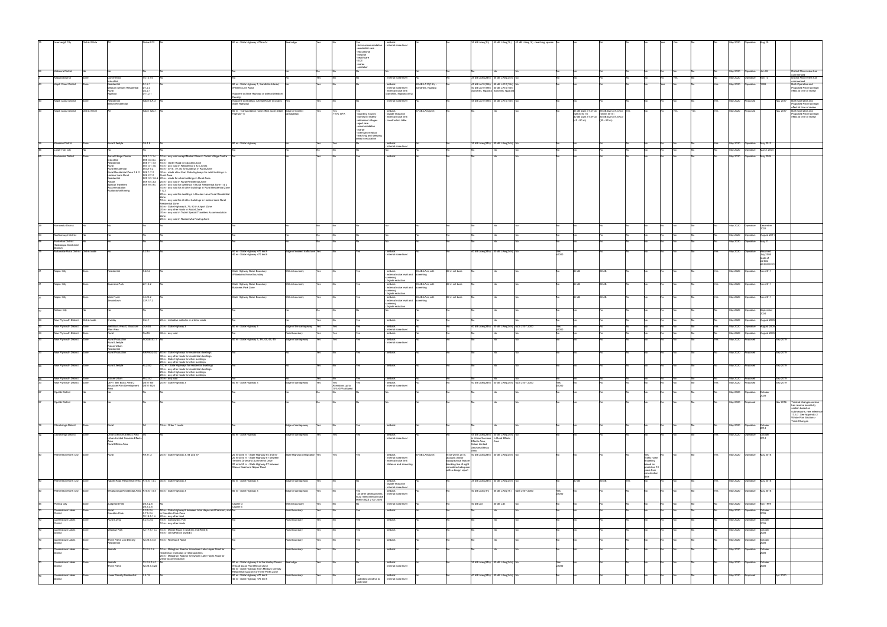|                              | District Wide                         |                                                             | $n$ se-R12                                                                                                                                     | 80 m - State Highway >70km/hr                                                                          | eal edge                         |     |                          |                                                    |                                                   |                                       |                                               |                                                                    |           | 35 dB LAeq(1h) 40 dB LAeq(1h) 40 dB LAeq(1h) - teaching spaces No |              |               |                                                        |                            |  |     | May 2020                               |                              |                      |                                                     |
|------------------------------|---------------------------------------|-------------------------------------------------------------|------------------------------------------------------------------------------------------------------------------------------------------------|--------------------------------------------------------------------------------------------------------|----------------------------------|-----|--------------------------|----------------------------------------------------|---------------------------------------------------|---------------------------------------|-----------------------------------------------|--------------------------------------------------------------------|-----------|-------------------------------------------------------------------|--------------|---------------|--------------------------------------------------------|----------------------------|--|-----|----------------------------------------|------------------------------|----------------------|-----------------------------------------------------|
| vercargill City              |                                       |                                                             |                                                                                                                                                |                                                                                                        |                                  |     |                          | - visitor accommodation<br>residential care        | - internal noise level                            |                                       |                                               |                                                                    |           |                                                                   |              |               |                                                        |                            |  |     |                                        |                              |                      |                                                     |
|                              |                                       |                                                             |                                                                                                                                                |                                                                                                        |                                  |     |                          | educational                                        |                                                   |                                       |                                               |                                                                    |           |                                                                   |              |               |                                                        |                            |  |     |                                        |                              |                      |                                                     |
|                              |                                       |                                                             |                                                                                                                                                |                                                                                                        |                                  |     |                          | hospital<br>- healthcare<br>- ECE                  |                                                   |                                       |                                               |                                                                    |           |                                                                   |              |               |                                                        |                            |  |     |                                        |                              |                      |                                                     |
|                              |                                       |                                                             |                                                                                                                                                |                                                                                                        |                                  |     |                          | - marae                                            |                                                   |                                       |                                               |                                                                    |           |                                                                   |              |               |                                                        |                            |  |     |                                        |                              |                      |                                                     |
| Kaikoura District            |                                       |                                                             |                                                                                                                                                |                                                                                                        |                                  |     |                          | caretaker                                          |                                                   |                                       |                                               |                                                                    |           |                                                                   |              |               |                                                        |                            |  |     | May 2020                               | Operative<br>Jun 08          |                      | District Plan review has                            |
|                              |                                       |                                                             |                                                                                                                                                |                                                                                                        |                                  |     |                          |                                                    |                                                   |                                       |                                               |                                                                    |           |                                                                   |              |               |                                                        |                            |  |     | May 2020                               | Nov 13                       |                      | henner                                              |
| Kaipara District             |                                       | Commercia<br>dustrial                                       | 14.10.14                                                                                                                                       |                                                                                                        |                                  |     |                          |                                                    | internal noise level                              |                                       |                                               | 35 dB LAeq(24h) 35 dB LAeq(24h)                                    |           |                                                                   |              |               |                                                        |                            |  |     |                                        | perative                     |                      | District Plan review has<br>nmenced                 |
| Kapiti Coast District        |                                       | esidential<br><b>Medium Density Residential</b>             | D1.2.1<br>D1.2.3                                                                                                                               | 80 m - State Highway 1, Sandhills Arterial,<br>Vestern Link Road                                       |                                  |     |                          |                                                    | setback<br>internal noise level                   | 60 dB LA10(18h)<br>Sandhills, Ngarara |                                               | 45 dB LA10(18h) 45 dB LA10(18h)<br>40 dB LA10(18h) 40 dB LA10(18h) |           |                                                                   |              |               |                                                        | Yes                        |  |     | May 2020                               | Operative<br>1999            |                      | Both Operative and<br>Proposed Plan had legal       |
|                              |                                       | Rural<br>Ngarara                                            | D <sub>2</sub> .2.1<br>D11.2.1                                                                                                                 | Adjacent to State Highway or arterial (Medium                                                          |                                  |     |                          |                                                    | external noise limit<br>(Sandhills, Ngarara only) |                                       |                                               | Sandhills, Ngarara Sandhills, Ngarara                              |           |                                                                   |              |               |                                                        |                            |  |     |                                        |                              |                      | effect at time of review                            |
| Kapiti Coast District        |                                       | Residential                                                 | Table 5.A.3                                                                                                                                    | Density)<br>Adjacent to Strategic Arterial Route (includes N/A                                         |                                  |     |                          |                                                    |                                                   |                                       |                                               | 45 dB LA10(18h) 45 dB LA10(18h)                                    |           |                                                                   |              |               |                                                        |                            |  |     | May 2020                               | <b>roosed</b>                |                      | Both Operative and                                  |
|                              |                                       | seach Residential                                           |                                                                                                                                                | State Highway)                                                                                         |                                  |     |                          |                                                    | internal noise level                              |                                       |                                               |                                                                    |           |                                                                   |              |               |                                                        |                            |  |     |                                        |                              |                      | Proposed Plan had legal                             |
| Kapiti Coast District        | District Wide                         |                                                             | Table 12D.1. No                                                                                                                                | 80 m - Transportation noise effect route (State Edge of nearest                                        |                                  |     | Yes                      |                                                    | - setback                                         | dB LAeq(24h)                          |                                               |                                                                    |           |                                                                   |              |               | 35 dB D2m,nT,w+Ctr 35 dB D2m,nT,w+Ctr Ye               |                            |  |     | May 2020                               | Proposed                     | <b>Nov 2017</b>      | effect at time of review<br>Both Operative and      |
|                              |                                       |                                                             |                                                                                                                                                | Highway 1)                                                                                             | iageway                          |     | >10% GFA                 | - boarding houses<br>homes for elderly             | façade reduction<br>external noise limit          |                                       |                                               |                                                                    |           |                                                                   |              | (within 40 m) | (within 40 m)<br>30 dB D2m,nT,w+Ctr 30 dB D2m,nT,w+Ctr |                            |  |     |                                        |                              |                      | Proposed Plan had legal<br>effect at time of review |
|                              |                                       |                                                             |                                                                                                                                                |                                                                                                        |                                  |     |                          | retirement villages                                | construction table                                |                                       |                                               |                                                                    |           |                                                                   |              | $(40 - 80$ m) | $(40 - 80$ m)                                          |                            |  |     |                                        |                              |                      |                                                     |
|                              |                                       |                                                             |                                                                                                                                                |                                                                                                        |                                  |     |                          | aged care<br>accommodation                         |                                                   |                                       |                                               |                                                                    |           |                                                                   |              |               |                                                        |                            |  |     |                                        |                              |                      |                                                     |
|                              |                                       |                                                             |                                                                                                                                                |                                                                                                        |                                  |     |                          | marae<br>- overnight medical                       |                                                   |                                       |                                               |                                                                    |           |                                                                   |              |               |                                                        |                            |  |     |                                        |                              |                      |                                                     |
|                              |                                       |                                                             |                                                                                                                                                |                                                                                                        |                                  |     |                          | - teaching and sleeping<br>areas in education      |                                                   |                                       |                                               |                                                                    |           |                                                                   |              |               |                                                        |                            |  |     |                                        |                              |                      |                                                     |
| Kawerau District             | Zone                                  | Rural Lifestyle                                             | C6.4.8                                                                                                                                         | 80 m - State Highway                                                                                   |                                  |     | <b>Yes</b>               |                                                    | setback                                           |                                       |                                               | 35 dB LAeq(24h) 40 dB LAeq(24h)                                    |           |                                                                   |              |               |                                                        |                            |  |     | May 2020 Operative May 2012            |                              |                      |                                                     |
| Lower Hutt City              |                                       |                                                             |                                                                                                                                                |                                                                                                        |                                  |     |                          |                                                    | internal noise level                              |                                       |                                               |                                                                    |           |                                                                   |              |               |                                                        |                            |  |     | May 2020 Operative March 2004          |                              |                      |                                                     |
|                              |                                       |                                                             |                                                                                                                                                |                                                                                                        |                                  |     |                          |                                                    |                                                   |                                       |                                               |                                                                    |           |                                                                   |              |               |                                                        |                            |  |     |                                        |                              |                      |                                                     |
| Mackenzie District           |                                       | Twizel Village Centre<br>ndustrial                          | S06 1.3.1.c 10 m - any road except Market Place in Twizel Village Centre<br>S06 3.3.6.c<br>Zone                                                |                                                                                                        |                                  | Yes |                          |                                                    | - setback                                         |                                       |                                               |                                                                    |           |                                                                   |              |               |                                                        | No                         |  |     | May 2020 Operative May 2004            |                              |                      |                                                     |
|                              |                                       | Residential<br>Rural                                        | S06 7.1.1.e 10 m - Ostler Road in Industrial Zone<br>S07 3.1.1.b 10 m - any road in Residential 3 & 4 zones                                    |                                                                                                        |                                  |     |                          |                                                    |                                                   |                                       |                                               |                                                                    |           |                                                                   |              |               |                                                        |                            |  |     |                                        |                              |                      |                                                     |
|                              |                                       | Rural Residential<br>Rural Residential Zone 1 & 2 S08 1.7.2 | 50 m - SH 8, 79, 80 for buildings in Rural Zone<br>S07A 9.2                                                                                    |                                                                                                        |                                  |     |                          |                                                    |                                                   |                                       |                                               |                                                                    |           |                                                                   |              |               |                                                        |                            |  |     |                                        |                              |                      |                                                     |
|                              |                                       | Hocken Lane Rural                                           | 30 m - roads other than State highways for retail buildings in<br>S08 2.7.2<br>Rural Zone                                                      |                                                                                                        |                                  |     |                          |                                                    |                                                   |                                       |                                               |                                                                    |           |                                                                   |              |               |                                                        |                            |  |     |                                        |                              |                      |                                                     |
|                              |                                       | Residential<br>Airport                                      | S09 3.3.1.6.d 20 m - roads for other buildings in Rural Zone<br>S09 8.4.3.a 20 m - any road in Rural Residential Zone                          |                                                                                                        |                                  |     |                          |                                                    |                                                   |                                       |                                               |                                                                    |           |                                                                   |              |               |                                                        |                            |  |     |                                        |                              |                      |                                                     |
|                              |                                       | Special Travellers<br>Accommodation                         | S09 9.4.9.c 20 m - any road for dwellings in Rural Residential Zone 1 & 2<br>10 m - any road for all other buildings in Rural Residential Zone |                                                                                                        |                                  |     |                          |                                                    |                                                   |                                       |                                               |                                                                    |           |                                                                   |              |               |                                                        |                            |  |     |                                        |                              |                      |                                                     |
|                              |                                       | Ruataniwha Rowing                                           | 1 & 2<br>20 m - any road for dwellings in Hocken Lane Rural Residential                                                                        |                                                                                                        |                                  |     |                          |                                                    |                                                   |                                       |                                               |                                                                    |           |                                                                   |              |               |                                                        |                            |  |     |                                        |                              |                      |                                                     |
|                              |                                       |                                                             |                                                                                                                                                |                                                                                                        |                                  |     |                          |                                                    |                                                   |                                       |                                               |                                                                    |           |                                                                   |              |               |                                                        |                            |  |     |                                        |                              |                      |                                                     |
|                              |                                       |                                                             | 10 m - any road for all other buildings in Hocken Lane Rural<br>Residential Zone                                                               |                                                                                                        |                                  |     |                          |                                                    |                                                   |                                       |                                               |                                                                    |           |                                                                   |              |               |                                                        |                            |  |     |                                        |                              |                      |                                                     |
|                              |                                       |                                                             | 50 m - State Highway 8, 79, 80 in Airport Zone<br>20 m - any other roads in Airport Zone                                                       |                                                                                                        |                                  |     |                          |                                                    |                                                   |                                       |                                               |                                                                    |           |                                                                   |              |               |                                                        |                            |  |     |                                        |                              |                      |                                                     |
|                              |                                       |                                                             | 20 m - any road in Twizel Special Travellers Accommodation                                                                                     |                                                                                                        |                                  |     |                          |                                                    |                                                   |                                       |                                               |                                                                    |           |                                                                   |              |               |                                                        |                            |  |     |                                        |                              |                      |                                                     |
|                              |                                       |                                                             | 20 m - any road in Ruataniwha Rowing Zone                                                                                                      |                                                                                                        |                                  |     |                          |                                                    |                                                   |                                       |                                               |                                                                    |           |                                                                   |              |               |                                                        |                            |  |     |                                        |                              |                      |                                                     |
| Manawatu District            |                                       |                                                             |                                                                                                                                                |                                                                                                        |                                  |     |                          |                                                    |                                                   |                                       |                                               |                                                                    |           |                                                                   |              |               |                                                        |                            |  |     | May 2020                               | Operative<br>December        |                      |                                                     |
|                              |                                       |                                                             |                                                                                                                                                |                                                                                                        |                                  |     |                          |                                                    |                                                   |                                       |                                               |                                                                    |           |                                                                   |              |               |                                                        |                            |  |     |                                        |                              |                      |                                                     |
| Marlborough District         |                                       |                                                             |                                                                                                                                                |                                                                                                        |                                  |     |                          |                                                    |                                                   |                                       |                                               |                                                                    |           |                                                                   |              |               |                                                        |                            |  |     | May 2020                               | Operative<br>August 20       |                      |                                                     |
| <b>Masterton District</b>    |                                       |                                                             |                                                                                                                                                |                                                                                                        |                                  |     |                          |                                                    |                                                   |                                       |                                               |                                                                    |           |                                                                   |              |               |                                                        |                            |  |     | May 2020 Operative                     | May 11                       |                      |                                                     |
| (Wairarapa Combined          |                                       |                                                             |                                                                                                                                                |                                                                                                        |                                  |     |                          |                                                    |                                                   |                                       |                                               |                                                                    |           |                                                                   |              |               |                                                        |                            |  |     |                                        |                              |                      |                                                     |
|                              | fatamata-Piako District District wide |                                                             | 5.2.9.1                                                                                                                                        | 80 m - State Highway >70 km/h                                                                          | Edge of nearest traffic lane Yes |     |                          |                                                    | - setback                                         |                                       |                                               | 40 dB LAeq(24h) 40 dB LAeq(24h)                                    |           |                                                                   |              |               |                                                        |                            |  |     | May 2020 Operative                     | Assumed                      |                      |                                                     |
|                              |                                       |                                                             |                                                                                                                                                | 40 m - State Highway <70 km/h                                                                          |                                  |     |                          |                                                    | internal noise level                              |                                       |                                               |                                                                    |           |                                                                   | Yes<br>v2000 |               |                                                        |                            |  |     |                                        | <b>July 2005</b><br>(date of |                      |                                                     |
|                              |                                       |                                                             |                                                                                                                                                |                                                                                                        |                                  |     |                          |                                                    |                                                   |                                       |                                               |                                                                    |           |                                                                   |              |               |                                                        |                            |  |     |                                        | earliest                     |                      |                                                     |
|                              |                                       |                                                             |                                                                                                                                                |                                                                                                        |                                  |     |                          |                                                    |                                                   |                                       |                                               |                                                                    |           |                                                                   |              |               |                                                        |                            |  |     |                                        | amendmen                     |                      |                                                     |
| lapier City                  |                                       |                                                             | 5.22.2                                                                                                                                         | tate Highway Noise Boundary<br>Willowbank Noise Boundary                                               | thin boundary                    |     |                          |                                                    | setback<br>- external noise level and screening   | 55 dB LAeq with                       | 80 m set back                                 |                                                                    |           |                                                                   |              | 30 dB         | 30 dB                                                  |                            |  |     | May 2020                               | lov 2011<br>perative         |                      |                                                     |
|                              |                                       |                                                             |                                                                                                                                                |                                                                                                        |                                  |     |                          |                                                    | creening                                          |                                       |                                               |                                                                    |           |                                                                   |              |               |                                                        |                            |  |     |                                        |                              |                      |                                                     |
| Napier City                  |                                       | Business Park                                               | 7.16.2                                                                                                                                         |                                                                                                        | /ithin boundary                  |     |                          |                                                    | façade reduction<br>- setback                     | 55 dB LAeg with                       | 80 m set back                                 |                                                                    |           |                                                                   |              | 30 dB         | 30 dB                                                  |                            |  |     | May 2020                               | Operative<br>Nov 201         |                      |                                                     |
|                              |                                       |                                                             |                                                                                                                                                | State Highway Noise Boundary<br>Business Park Zone                                                     |                                  |     |                          |                                                    | - external noise level and screening<br>creening  |                                       |                                               |                                                                    |           |                                                                   |              |               |                                                        |                            |  |     |                                        |                              |                      |                                                     |
|                              |                                       |                                                             |                                                                                                                                                |                                                                                                        |                                  |     |                          |                                                    | façade reduction                                  |                                       |                                               |                                                                    |           |                                                                   |              |               |                                                        |                            |  |     |                                        |                              |                      |                                                     |
| Napier City                  |                                       | Main Rural<br>ervoistown                                    | 34.25.2<br>37A.17.2                                                                                                                            | State Highway Noise Boundary                                                                           | /ithin boundary                  |     |                          |                                                    | - setback<br>external noise level and screening   | 55 dB LAeq with                       | 80 m set back                                 |                                                                    |           |                                                                   |              | 30 dB         | 30 dB                                                  |                            |  |     | May 2020                               | Operative<br><b>Nov 201</b>  |                      |                                                     |
|                              |                                       |                                                             |                                                                                                                                                |                                                                                                        |                                  |     |                          |                                                    | screening<br>- façade reduction                   |                                       |                                               |                                                                    |           |                                                                   |              |               |                                                        |                            |  |     |                                        |                              |                      |                                                     |
| Nelson City                  |                                       |                                                             |                                                                                                                                                |                                                                                                        |                                  |     |                          |                                                    |                                                   |                                       |                                               |                                                                    |           |                                                                   |              |               |                                                        |                            |  |     | May 2020<br>Operative                  |                              | September            |                                                     |
|                              |                                       |                                                             |                                                                                                                                                |                                                                                                        |                                  |     |                          |                                                    |                                                   |                                       |                                               |                                                                    |           |                                                                   |              |               |                                                        |                            |  |     |                                        |                              |                      |                                                     |
| New Plymouth District        | strict wide                           |                                                             | 20 m - indicative collector or arterial roads                                                                                                  |                                                                                                        |                                  |     |                          |                                                    | setback                                           |                                       |                                               |                                                                    |           |                                                                   |              |               |                                                        |                            |  |     | May 2020                               | perative<br>August 20        |                      |                                                     |
| New Plymouth District        |                                       |                                                             | 20 m - State Highway 3                                                                                                                         | 30 m - State Highway 3                                                                                 | dge of the carriageway           |     | Yes                      |                                                    | - setback                                         |                                       |                                               | 40 dB LAeq(24h) 40 dB LAeq(24h) NZS 2107:2000                      |           |                                                                   |              |               |                                                        |                            |  |     | May 2020                               | Operative                    | August 200           |                                                     |
| New Plymouth District        |                                       | Plan Area<br>Rural                                          | 30 m - any road<br>Rur16                                                                                                                       |                                                                                                        |                                  |     |                          |                                                    | internal noise level                              |                                       |                                               |                                                                    |           |                                                                   |              |               |                                                        |                            |  |     |                                        | Operative                    | August 200           |                                                     |
|                              |                                       |                                                             |                                                                                                                                                |                                                                                                        |                                  |     |                          |                                                    |                                                   |                                       |                                               |                                                                    |           |                                                                   |              |               |                                                        |                            |  |     |                                        |                              |                      |                                                     |
|                              |                                       |                                                             |                                                                                                                                                |                                                                                                        | toad boundary                    |     | Yes                      |                                                    | - setback                                         |                                       |                                               |                                                                    |           |                                                                   |              |               |                                                        |                            |  |     | May 2020                               |                              |                      |                                                     |
| New Plymouth District        |                                       | Rural Production                                            | NOISE-S3.1 No                                                                                                                                  | 30 m - State Highway 3, 3A, 43, 44, 45                                                                 | Edge of carriageway              |     | Yes                      |                                                    | setback                                           |                                       |                                               |                                                                    |           |                                                                   |              |               |                                                        |                            |  |     | May 2020                               | roposed                      | Sep 2019             |                                                     |
|                              |                                       | Rural Lifestyle<br>Future Urban<br>tesidential              |                                                                                                                                                |                                                                                                        |                                  |     |                          |                                                    | internal noise level                              |                                       |                                               |                                                                    |           |                                                                   |              |               |                                                        |                            |  |     |                                        |                              |                      |                                                     |
| New Plymouth District        | Zons                                  | Rural Production                                            | RPROZ-S2 80 m - State Highways for residential dwellings                                                                                       |                                                                                                        |                                  |     |                          |                                                    | setback                                           |                                       |                                               |                                                                    |           |                                                                   |              |               |                                                        |                            |  |     | May 2020                               | oposed                       | Sep 2019             |                                                     |
|                              |                                       |                                                             | 30 m - any other roads for residential dwellings<br>30 m - State Highways for other buildings                                                  |                                                                                                        |                                  |     |                          |                                                    |                                                   |                                       |                                               |                                                                    |           |                                                                   |              |               |                                                        |                            |  |     |                                        |                              |                      |                                                     |
|                              |                                       |                                                             | 20 m - any other roads for other buildings                                                                                                     |                                                                                                        |                                  |     |                          |                                                    |                                                   |                                       |                                               |                                                                    |           |                                                                   |              |               |                                                        |                            |  |     |                                        |                              |                      |                                                     |
| New Plymouth District Zone   |                                       | Rural Lifestyle                                             | 100 m - State Highways for residential dwellings<br>RLZ-S2<br>30 m - any other roads for residential dwellings                                 |                                                                                                        |                                  |     |                          |                                                    | - setback                                         |                                       |                                               |                                                                    |           |                                                                   |              |               |                                                        |                            |  |     | May 2020                               | Proposed                     | Sep 2019             |                                                     |
|                              |                                       |                                                             | 25 m - State Highways for other buildings                                                                                                      |                                                                                                        |                                  |     |                          |                                                    |                                                   |                                       |                                               |                                                                    |           |                                                                   |              |               |                                                        |                            |  |     |                                        |                              |                      |                                                     |
| New Plymouth District Zone   |                                       |                                                             | 20 m - any other roads for other buildings                                                                                                     |                                                                                                        |                                  |     |                          |                                                    | - setback                                         |                                       |                                               |                                                                    |           |                                                                   |              |               |                                                        |                            |  | No  |                                        |                              |                      |                                                     |
| New Plymouth District        | <b>Zone</b>                           | Structure Plan Development DEV1-R20                         | Future Urban FUZ-S2 30 m - any road<br>DEV1 Bell Block Area Q DEV1-R5 20 m - State Highway 3                                                   | 30 m - State Highway 3                                                                                 | Edge of carriageway              |     | Yes<br>Alterations up to |                                                    | - setback<br>internal noise level                 |                                       |                                               | 40 dB LAeq(24h) 40 dB LAeq(24h) NZS 2107:2000                      |           |                                                                   | /2000        |               |                                                        |                            |  |     | May 2020 Proposed<br>May 2020 Proposed |                              | Sep 2019<br>Sep 2019 |                                                     |
|                              |                                       |                                                             |                                                                                                                                                |                                                                                                        |                                  |     | 10% GFA allowed          |                                                    |                                                   |                                       |                                               |                                                                    |           |                                                                   |              |               |                                                        |                            |  |     |                                        |                              |                      |                                                     |
| Opotiki District             |                                       |                                                             |                                                                                                                                                |                                                                                                        |                                  |     |                          |                                                    |                                                   |                                       |                                               |                                                                    |           |                                                                   |              |               |                                                        |                            |  |     | May 2020                               | Operative<br>October         |                      |                                                     |
| Opotiki District             |                                       |                                                             |                                                                                                                                                |                                                                                                        |                                  |     |                          |                                                    |                                                   |                                       |                                               |                                                                    |           |                                                                   |              |               |                                                        |                            |  |     | May 2020                               | 'roposed                     | Nov 201              | <b>Fracked changes version</b>                      |
|                              |                                       |                                                             |                                                                                                                                                |                                                                                                        |                                  |     |                          |                                                    |                                                   |                                       |                                               |                                                                    |           |                                                                   |              |               |                                                        |                            |  |     |                                        |                              |                      | has reverse sensitivity                             |
|                              |                                       |                                                             |                                                                                                                                                |                                                                                                        |                                  |     |                          |                                                    |                                                   |                                       |                                               |                                                                    |           |                                                                   |              |               |                                                        |                            |  |     |                                        |                              |                      | section based on<br>ubmissions, new refere          |
|                              |                                       |                                                             |                                                                                                                                                |                                                                                                        |                                  |     |                          |                                                    |                                                   |                                       |                                               |                                                                    |           |                                                                   |              |               |                                                        |                            |  |     |                                        |                              |                      | 17.4.7. See Appendix 2<br>Whole Plan Sections -     |
|                              |                                       |                                                             |                                                                                                                                                |                                                                                                        |                                  |     |                          |                                                    |                                                   |                                       |                                               |                                                                    |           |                                                                   |              |               |                                                        |                            |  |     |                                        |                              |                      | <b>Track Changes</b>                                |
| Otorohanga District          |                                       |                                                             | 15 m - Order 1 roads                                                                                                                           |                                                                                                        | dge of carriageway               |     |                          |                                                    | setback                                           |                                       |                                               |                                                                    |           |                                                                   |              |               |                                                        |                            |  |     | May 2020                               | Operative<br>October<br>2014 |                      |                                                     |
| Otorohanga District          | <b>Zone</b>                           | Urban Services Effects Area                                 |                                                                                                                                                |                                                                                                        |                                  |     | Yes                      |                                                    | - setback                                         |                                       |                                               | 45 dB LAeg(24h) 40 dB LAeg(24h)                                    |           |                                                                   |              |               |                                                        |                            |  | Yes | May 2020                               | Operative<br>October         |                      |                                                     |
|                              |                                       | Urban Limited Services Effects                              |                                                                                                                                                | 80 m - State Highway                                                                                   | Edge of carriageway              |     |                          |                                                    | internal noise level                              |                                       |                                               | in Urban Services in Rural Effects                                 |           |                                                                   |              |               |                                                        |                            |  |     |                                        |                              |                      |                                                     |
|                              |                                       | Rural Effetcs Area                                          |                                                                                                                                                |                                                                                                        |                                  |     |                          |                                                    |                                                   |                                       |                                               | Effects Area,<br>Urban Limited                                     |           |                                                                   |              |               |                                                        |                            |  |     |                                        |                              |                      |                                                     |
|                              |                                       |                                                             |                                                                                                                                                |                                                                                                        |                                  |     |                          |                                                    |                                                   |                                       |                                               | Services Effects<br>Area                                           |           |                                                                   |              |               |                                                        |                            |  |     |                                        |                              |                      |                                                     |
| Palmerston North City        |                                       |                                                             | 20 m - State Highway 3, 54 and 57<br>R9.11.2                                                                                                   | 20 m to 80 m - State Highway 54 and 57                                                                 | te Highway designation Yes       |     |                          |                                                    | setback                                           | dB LAeq(24h)                          | If not within 20 m,                           | 40 dB LAeq(24h) 40 dB LAeq(24h)                                    |           |                                                                   |              |               |                                                        |                            |  |     | May 2020                               | May 2018<br>Operative        |                      |                                                     |
|                              |                                       |                                                             |                                                                                                                                                | 20 m to 50 m - State Highway 57 between<br>Tennent Drive and Summerhill Drive                          |                                  |     |                          |                                                    | - internal noise level<br>external noise limit    |                                       | acoustic wall or<br>topographical feature     |                                                                    |           |                                                                   |              |               |                                                        | Traffic noise<br>modelling |  |     |                                        |                              |                      |                                                     |
|                              |                                       |                                                             |                                                                                                                                                | 20 m to 50 m - State Highway 57 between<br>Staces Road and Napier Road                                 |                                  |     |                          |                                                    | - distance and screening                          |                                       | blocking line of sight<br>considered adequate |                                                                    |           |                                                                   |              |               |                                                        | based on<br>prediction 10  |  |     |                                        |                              |                      |                                                     |
|                              |                                       |                                                             |                                                                                                                                                |                                                                                                        |                                  |     |                          |                                                    |                                                   |                                       | with a design report                          |                                                                    |           |                                                                   |              |               |                                                        | years from                 |  |     |                                        |                              |                      |                                                     |
|                              |                                       |                                                             |                                                                                                                                                |                                                                                                        |                                  |     |                          |                                                    |                                                   |                                       |                                               |                                                                    |           |                                                                   |              |               |                                                        | construction<br>date       |  |     |                                        |                              |                      |                                                     |
| Palmerston North City        | Zone                                  |                                                             | Napier Road Residential Area R10.6.1.4.c 30 m - State Highway 3                                                                                | 80 m - State Highway 3                                                                                 | Edge of carriageway              |     |                          |                                                    | - setback<br>- façade reduction                   |                                       |                                               | 35 dB LAeq(24h) 30 dB LAeq(24h)                                    |           |                                                                   |              | 30dB          | 30 dB                                                  |                            |  |     | May 2020 Operative                     | May 2018                     |                      |                                                     |
|                              |                                       |                                                             |                                                                                                                                                |                                                                                                        |                                  |     |                          |                                                    | internal noise level                              |                                       |                                               |                                                                    |           |                                                                   |              |               |                                                        |                            |  |     |                                        |                              |                      |                                                     |
| Palmerston North City        | Zone                                  |                                                             | Whakarongo Residential Area R10.6.1.5.e 40 m - State Highway 3                                                                                 | 30 m - State Highway 3                                                                                 | dge of carriageway               |     |                          | - all other developments - internal noise level    | setback                                           |                                       |                                               | 40 dB LAeq(1h)                                                     |           | 35 dB LAeq(1h) NZS 2107:2000                                      | Yes<br>v2000 |               |                                                        |                            |  |     | <b>May 2020</b>                        | Operative<br>May 2018        |                      |                                                     |
|                              |                                       |                                                             |                                                                                                                                                |                                                                                                        |                                  |     |                          | must meet internal noise<br>level in NZS 2107:2000 |                                                   |                                       |                                               |                                                                    |           |                                                                   |              |               |                                                        |                            |  |     |                                        |                              |                      |                                                     |
| Porirua City                 |                                       | Judgeford Hills                                             | D5.3.2.5                                                                                                                                       | Cluster D                                                                                              | Vithin boundary                  |     |                          |                                                    | nternal noise level                               |                                       |                                               | 40 dB Ldn                                                          | 40 dB Ldn |                                                                   |              |               |                                                        |                            |  |     | May 2020 Operative Nov 1999            |                              |                      |                                                     |
| Queenstown Lakes             |                                       |                                                             | D5.3.3.5<br>50 m - State Highway 6 between Lake Hayes and Frankton, and No<br>5.3.5.2.1                                                        | Cluster E                                                                                              | toad boundary                    |     |                          |                                                    | setback                                           |                                       |                                               |                                                                    |           |                                                                   |              |               |                                                        |                            |  |     | May 2020 Operative                     | October                      |                      |                                                     |
| <b>District</b>              |                                       | Frankton Flats                                              | 5.7.5.2.ii in Frankton Flats Zone                                                                                                              |                                                                                                        |                                  |     |                          |                                                    |                                                   |                                       |                                               |                                                                    |           |                                                                   |              |               |                                                        |                            |  |     |                                        | 2005                         |                      |                                                     |
| Queenstown Lakes             |                                       | Rural Living                                                | 12.18.5.1.ii 20 m - any other road<br>15 m - Speargrass Flat<br>8.2.4.2.ix                                                                     |                                                                                                        | toad boundary                    |     |                          |                                                    | setback                                           |                                       |                                               |                                                                    |           |                                                                   |              |               |                                                        |                            |  |     | May 2020                               | Operative<br>October         |                      |                                                     |
| <b>District</b>              |                                       |                                                             | 10 m - any other roads                                                                                                                         |                                                                                                        |                                  |     |                          |                                                    |                                                   |                                       |                                               |                                                                    |           |                                                                   |              |               |                                                        |                            |  |     |                                        | 2005                         |                      |                                                     |
| Queenstown Lakes<br>District | Zone                                  | Meadow Park                                                 | 12.17.5.1.i.c 10 m - Manse Road in DUE(E) and RES(E)<br>15 m - OS-MR(E) in DUE(E)                                                              |                                                                                                        | Road boundary                    |     |                          |                                                    | - setback                                         |                                       |                                               |                                                                    |           |                                                                   |              |               |                                                        |                            |  |     | May 2020<br>Operative                  | October<br>2005              |                      |                                                     |
|                              |                                       |                                                             |                                                                                                                                                |                                                                                                        |                                  |     |                          |                                                    |                                                   |                                       |                                               |                                                                    |           |                                                                   |              |               |                                                        |                            |  |     |                                        |                              |                      |                                                     |
| Queenstown Lakes<br>strict   |                                       | Three Parks Low Density<br>dential                          | 12.26.4.3.3 10 m - Riverbank Road                                                                                                              |                                                                                                        | toad boundary                    |     |                          |                                                    | setback                                           |                                       |                                               |                                                                    |           |                                                                   |              |               |                                                        |                            |  |     | May 2020                               | October<br>Operative         |                      |                                                     |
| Queenstown Lakes             |                                       | Resorts                                                     | 12.2.5.1.ii 10 m - Malaghan Road or Arrowtown Lake Hayes Road for                                                                              |                                                                                                        | toad boundary                    |     |                          |                                                    | setback                                           |                                       |                                               |                                                                    |           |                                                                   |              |               |                                                        |                            |  |     | May 2020                               | October<br>Operative         |                      |                                                     |
| District                     |                                       |                                                             | residential, recreation or retail activities                                                                                                   |                                                                                                        |                                  |     |                          |                                                    |                                                   |                                       |                                               |                                                                    |           |                                                                   |              |               |                                                        |                            |  |     |                                        |                              |                      |                                                     |
|                              |                                       |                                                             | 20 m - Malaghan Road or Arrowtown Lake Hayes Road for<br>visitor accommodation                                                                 |                                                                                                        |                                  |     |                          |                                                    |                                                   |                                       |                                               |                                                                    |           |                                                                   |              |               |                                                        |                            |  |     |                                        |                              |                      |                                                     |
| Queenstown Lakes<br>strict   | Zone                                  | <b>Resorts</b><br>Three Parks                               | 12.2.5.2.ix.f<br>12.26.4.3.22                                                                                                                  | 80 m - State Highway 6 in the Hanley Downs<br>Area of Jacks Point Resort Zone                          | Seal edge                        |     |                          |                                                    | setback<br>internal noise level                   |                                       |                                               | 35 dB LAeq(24h) 40 dB LAeq(24h) No                                 |           |                                                                   |              |               |                                                        |                            |  |     | May 2020                               | Operative<br>October<br>2005 |                      |                                                     |
|                              |                                       |                                                             |                                                                                                                                                | 80 m - State Highway 84 in Medium Density                                                              |                                  |     |                          |                                                    |                                                   |                                       |                                               |                                                                    |           |                                                                   | Yes<br>v2000 |               |                                                        |                            |  |     |                                        |                              |                      |                                                     |
| Queenstown Lakes<br>District | Zone                                  | Lower Density Residential 7.5.15                            |                                                                                                                                                | idential subzone of Three Parks Zone<br>80 m - State Highway >70 km/h<br>40 m - State Highway <70 km/h | Road boundary                    |     |                          | Yes<br>- activities sensitive to                   | - setback<br>- internal noise level               |                                       |                                               | 40 dB LAeq(24h) 40 dB LAeq(24h) N                                  |           |                                                                   |              |               |                                                        |                            |  |     | May 2020<br>Proposed                   |                              | Apr 2020             |                                                     |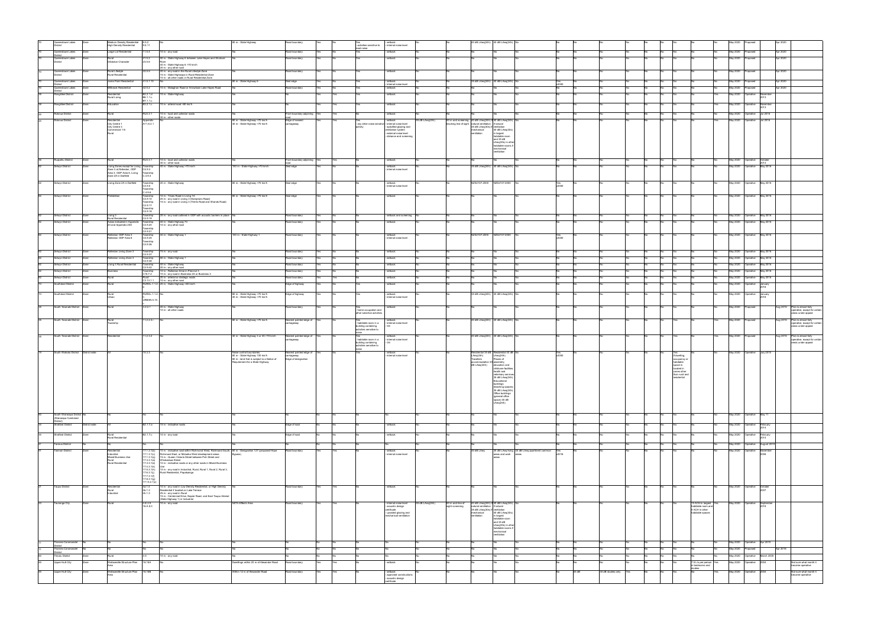| Queenstown Lakes<br>District                      |               | Medium Density Residential 8.5.2                                    | 9.5.11                                    |                                                                                                                             | 80 m - State Highway                                                        | Road boundary                          |     | res<br>- activities sensitive to                  | - setback<br>- internal noise level                                      |                |                                     | 40 dB LAeq(24h) 40 dB LAeq(24h) No                                                   |                                                        |                                                      |       |                        |  |                                     |                                                           |     | May 2020                    |                                                |                                                                                         |
|---------------------------------------------------|---------------|---------------------------------------------------------------------|-------------------------------------------|-----------------------------------------------------------------------------------------------------------------------------|-----------------------------------------------------------------------------|----------------------------------------|-----|---------------------------------------------------|--------------------------------------------------------------------------|----------------|-------------------------------------|--------------------------------------------------------------------------------------|--------------------------------------------------------|------------------------------------------------------|-------|------------------------|--|-------------------------------------|-----------------------------------------------------------|-----|-----------------------------|------------------------------------------------|-----------------------------------------------------------------------------------------|
| ueenstown Lakes                                   |               | <b>High Density Residential</b><br>Large Lot Residential            | 11.5.4                                    | 0 m - any road                                                                                                              |                                                                             | toad boundary                          |     | road noise                                        | setback                                                                  |                |                                     |                                                                                      |                                                        |                                                      |       |                        |  |                                     |                                                           |     | May 2020                    |                                                | Apr 2020                                                                                |
| <i>istrict</i><br>Queenstown Lakes                |               |                                                                     | 21.5.2                                    | 50 m - State Highway 6 between Lake Hayes and Shotover                                                                      |                                                                             | load boundary                          |     |                                                   | setback                                                                  |                |                                     |                                                                                      |                                                        |                                                      |       |                        |  |                                     |                                                           |     | May 2020                    |                                                | Apr 2020                                                                                |
| <b>District</b>                                   |               | Gibbston Character                                                  | 23.5.6                                    | 40 m - State Highway 6 >70 km/h                                                                                             |                                                                             |                                        |     |                                                   |                                                                          |                |                                     |                                                                                      |                                                        |                                                      |       |                        |  |                                     |                                                           |     |                             |                                                |                                                                                         |
| Queenstown Lakes                                  | Zone          | Rural Lifestyle                                                     | 22.5.5                                    | 20 m - any other road<br>20 m - any road in the Rural Lifestyle Zone                                                        |                                                                             | Road boundary                          |     |                                                   | setback                                                                  |                |                                     |                                                                                      |                                                        |                                                      |       |                        |  |                                     |                                                           |     | May 2020 Proposed           | Apr 2020                                       |                                                                                         |
|                                                   |               | tural Residential                                                   |                                           | 15 m - State Highways in Rural Residential Zone<br>10 m - all other roads in Rural Residential Zone                         |                                                                             |                                        |     |                                                   |                                                                          |                |                                     |                                                                                      |                                                        |                                                      |       |                        |  |                                     |                                                           |     |                             |                                                |                                                                                         |
| Queenstown Lakes                                  |               | Jacks Point Residential<br>Millbrook Residential                    | 41.5.1.10<br>42.5.2                       | 10 m - Malaghan Road or Arrowtown Lake Hayes Road                                                                           | 80 m - State Highway 6                                                      | Seal edge<br>Road boundary             |     |                                                   | setback<br>internal noise leve                                           |                |                                     | 35 dB LAeq(24h) 40 dB LAeq(24h                                                       |                                                        |                                                      |       |                        |  |                                     |                                                           |     | May 2020<br><b>May 2020</b> | Apr 2020<br>Proposed<br>Apr 2020               |                                                                                         |
| Queenstown Lakes<br>strict<br>Rangitikei District |               | Residential                                                         | B2.2.1.d                                  | 10 m - State Highway                                                                                                        |                                                                             |                                        |     |                                                   | setback<br>setback                                                       |                |                                     |                                                                                      |                                                        |                                                      |       |                        |  |                                     |                                                           |     | May 2020                    | roposed<br>Operative                           |                                                                                         |
|                                                   |               | Rural Living                                                        | B6.1.1.c<br>B7.1.1.c                      |                                                                                                                             |                                                                             |                                        |     |                                                   |                                                                          |                |                                     |                                                                                      |                                                        |                                                      |       |                        |  |                                     |                                                           |     |                             |                                                |                                                                                         |
| Rangitikei District                               |               | Education                                                           | B3.2.1.c                                  | 10 m - arterial road >80 km/h                                                                                               |                                                                             |                                        |     |                                                   | - setback                                                                |                |                                     |                                                                                      |                                                        |                                                      |       |                        |  |                                     |                                                           |     | May 2020                    | Operative<br>Novembe<br>2013                   |                                                                                         |
| <b>Rotorua District</b>                           | Zone          | Rural                                                               | RU3.3.1                                   | 10 m - local and collector roads                                                                                            |                                                                             | Front boundary adjoining Yes           |     |                                                   | setback                                                                  |                |                                     |                                                                                      |                                                        |                                                      |       |                        |  | No                                  |                                                           |     |                             | May 2020 Operative Jul 2016                    |                                                                                         |
| Rotorua District                                  | Zone          | Residential                                                         | Appendix                                  | 30 m - other roads                                                                                                          | 80 m - State Highway >70 km/h                                               | Edge of nearest                        |     |                                                   | - setback                                                                | 5 dB LAeq(24h) |                                     | 50 m and screening 40 dB LAeq(24h) if 40 dB LAeq(24h)                                |                                                        |                                                      |       |                        |  | No                                  |                                                           | Yes |                             | May 2020 Operative Jul 2016                    |                                                                                         |
|                                                   |               | City Centre 1<br>City Centre 3                                      | A11.6.3.1                                 |                                                                                                                             | 40 m - State Highway <70 km/h                                               | arriageway:                            |     | - any other noise senstive - internal noise level | - specified glazing and                                                  |                |                                     | cking line of sight natural ventilation if natural<br>35 dB LAeq(30s) if ventilation |                                                        |                                                      |       |                        |  |                                     |                                                           |     |                             |                                                |                                                                                         |
|                                                   |               | Commercial 1-6<br>Rural                                             |                                           |                                                                                                                             |                                                                             |                                        |     |                                                   | ventilation system<br>- external noise level<br>- distance and screening |                |                                     | mechanical<br>ventilation                                                            | 40 dB LAeq(30s)<br>in largest<br>habitable room        |                                                      |       |                        |  |                                     |                                                           |     |                             |                                                |                                                                                         |
|                                                   |               |                                                                     |                                           |                                                                                                                             |                                                                             |                                        |     |                                                   |                                                                          |                |                                     |                                                                                      | and 35 dB<br>LAeq(30s) in oth                          |                                                      |       |                        |  |                                     |                                                           |     |                             |                                                |                                                                                         |
|                                                   |               |                                                                     |                                           |                                                                                                                             |                                                                             |                                        |     |                                                   |                                                                          |                |                                     |                                                                                      | habitable rooms if<br>mechanical                       |                                                      |       |                        |  |                                     |                                                           |     |                             |                                                |                                                                                         |
|                                                   |               |                                                                     |                                           |                                                                                                                             |                                                                             |                                        |     |                                                   |                                                                          |                |                                     |                                                                                      | ventilation                                            |                                                      |       |                        |  |                                     |                                                           |     |                             |                                                |                                                                                         |
| Ruapehu District                                  | Zone          | Rural                                                               | RU3.3.1                                   | 10 m - local and collector roads<br>30 m - other road                                                                       |                                                                             | Front boundary adjoining Yes           |     |                                                   | - setback                                                                |                |                                     |                                                                                      |                                                        |                                                      |       |                        |  | No                                  |                                                           |     |                             | May 2020 Operative October<br>2013<br>May 2016 |                                                                                         |
| Selwyn District                                   |               | Living Zones except for Living Township<br>Zone 3 at Rolleston, ODP | CA.9.3                                    | 40 m - State Highway >70 km/h                                                                                               | 100 m - State Highway >70 km/h                                              | Seal edge                              |     |                                                   | - setback<br>internal noise level                                        |                |                                     | 35 dB LAeq(24h) 40 dB LAeq(24h)                                                      |                                                        |                                                      |       |                        |  |                                     |                                                           |     | May 2020 Operative          |                                                |                                                                                         |
|                                                   |               | Area 3, ODP Area 8, Living<br>Zone 2A in Darfield                   | Township<br>C.4.9.4                       |                                                                                                                             |                                                                             |                                        |     |                                                   |                                                                          |                |                                     |                                                                                      |                                                        |                                                      |       |                        |  |                                     |                                                           |     |                             |                                                |                                                                                         |
| elwyn District                                    |               | Living Zone 2A in Darfield                                          | ľownship                                  | 10 m - State Highway                                                                                                        | 80 m - State Highway >70 km/h                                               | seal edge                              |     |                                                   | setback                                                                  |                |                                     | NZS2107:2000                                                                         | NZS2107:2000                                           | Yes                                                  |       |                        |  | No.                                 |                                                           |     |                             | May 2020  Operative  May 2016                  |                                                                                         |
|                                                   |               |                                                                     | C4.9.5<br>Township<br>C.4.9.6             |                                                                                                                             |                                                                             |                                        |     |                                                   | - internal noise level                                                   |                |                                     |                                                                                      |                                                        | v2000                                                |       |                        |  |                                     |                                                           |     |                             |                                                |                                                                                         |
| Selwyn District                                   | Zone          | rebbletor                                                           | Township<br>C4.9.10                       | 10 m - Trices Road in Living 1A<br>20 m - any road in Living 3 (Hamptons Road)                                              | 80 m - State Highway >70 km/h                                               | Seal edge                              |     |                                                   | - setback                                                                |                |                                     |                                                                                      |                                                        |                                                      |       |                        |  |                                     |                                                           |     |                             | May 2020 Operative May 2016                    |                                                                                         |
|                                                   |               |                                                                     | Township<br>C4.9.17                       | 15 m - any road in Living 3 (Trents Road and Shands Road)                                                                   |                                                                             |                                        |     |                                                   |                                                                          |                |                                     |                                                                                      |                                                        |                                                      |       |                        |  |                                     |                                                           |     |                             |                                                |                                                                                         |
|                                                   |               |                                                                     | Township<br>C4.9.18                       |                                                                                                                             |                                                                             |                                        |     |                                                   |                                                                          |                |                                     |                                                                                      |                                                        |                                                      |       |                        |  |                                     |                                                           |     |                             |                                                |                                                                                         |
| Selwyn District                                   |               | Living 3<br>Rural Residential                                       | Township<br>C4.9.19                       | 5 m - any road outlined in ODP with acoustic barriers in place                                                              |                                                                             | <b>Road boundary</b>                   |     |                                                   | setback and screening                                                    |                |                                     |                                                                                      |                                                        |                                                      |       |                        |  | <b>No</b>                           |                                                           |     |                             | May 2020 Operative May 2016                    |                                                                                         |
| Selwyn District                                   |               | Areas indicated in Appendix<br>20 and Appendix 20A                  | Township<br>C4.9.20                       | 40 m - State Highway 73<br>10 m - any other road                                                                            |                                                                             | Road boundary                          |     |                                                   | setback                                                                  |                |                                     |                                                                                      |                                                        |                                                      |       |                        |  |                                     |                                                           |     | May 2020 Operative          | May 2016                                       |                                                                                         |
|                                                   |               |                                                                     | Township<br>C4.9.21                       |                                                                                                                             |                                                                             |                                        |     |                                                   |                                                                          |                |                                     |                                                                                      |                                                        |                                                      |       |                        |  |                                     |                                                           |     |                             |                                                |                                                                                         |
| Selwyn District                                   |               | Rolleston ODP Area 3<br>Rolleston ODP Area 8                        | Township<br>C4.9.35<br>Township           | 40 m - State Highway 1                                                                                                      | 100 m - State Highway 1                                                     | Road boundary                          |     |                                                   | setback<br>- internal noise level                                        |                |                                     | NZS2107:2000                                                                         | NZS2107:2000                                           | Yes<br>V2000                                         |       |                        |  |                                     |                                                           |     |                             | May 2020  Operative  May 2016                  |                                                                                         |
|                                                   |               |                                                                     | C4.9.36                                   |                                                                                                                             |                                                                             |                                        |     |                                                   |                                                                          |                |                                     |                                                                                      |                                                        |                                                      |       |                        |  |                                     |                                                           |     |                             |                                                |                                                                                         |
| Selwyn District                                   | Zone          | Rolleston Living Zone 3                                             | Township<br>C4.9.37                       | 15 m - any road                                                                                                             |                                                                             | Road boundary                          |     |                                                   | setback                                                                  |                |                                     |                                                                                      |                                                        |                                                      |       |                        |  |                                     |                                                           |     |                             | May 2020 Operative May 2016                    |                                                                                         |
| Selwyn District                                   | Zone          | Rolleston Living Zone 3                                             | Township<br>C4.9.38                       | 80 m - State Highway 1                                                                                                      |                                                                             | Road boundary                          |     |                                                   | setback                                                                  |                |                                     |                                                                                      |                                                        |                                                      |       |                        |  | No                                  |                                                           |     |                             | May 2020 Operative May 2016                    |                                                                                         |
| Selwyn District                                   |               | Living 3 Rural Residential                                          | ľownship<br>C4.9.42                       | 40 m - State Highway<br>20 m - any other road                                                                               |                                                                             | Road boundary                          |     |                                                   | setback                                                                  |                |                                     |                                                                                      |                                                        |                                                      |       |                        |  |                                     |                                                           |     | May 2020                    | Operative<br>May 2016                          |                                                                                         |
| Selwyn District                                   |               | Business                                                            | ownship<br>C16.7.2                        | 10 m - Rolleston Drive in Precinct 3<br>10 m - any road in Business 2A or Business 3                                        |                                                                             | Road boundary                          |     |                                                   | setback                                                                  |                |                                     |                                                                                      |                                                        |                                                      |       |                        |  |                                     |                                                           |     | May 2020                    | Operative<br>May 2016                          |                                                                                         |
| Selwyn District<br>outhland District              |               | Rural<br>Rural                                                      |                                           | Rural 20 m - arterial or strategic roads<br>C3.13.1.1 10 m - any other road<br>RURAL.1.1.2. 20 m - State Highway >80 km/h   |                                                                             | Road boundary<br>Edge of highway       |     |                                                   | setback<br>setback                                                       |                |                                     |                                                                                      |                                                        |                                                      |       |                        |  |                                     |                                                           |     | May 2020<br>May 2020        | May 2016<br>Operative<br>Operative<br>January  |                                                                                         |
|                                                   |               |                                                                     |                                           |                                                                                                                             |                                                                             |                                        |     |                                                   |                                                                          |                |                                     |                                                                                      |                                                        |                                                      |       |                        |  |                                     |                                                           |     |                             |                                                |                                                                                         |
| Southland District                                | Zone          | Rural<br>Urban                                                      | RURAL.1.1.2. No                           |                                                                                                                             | 80 m - State Highway >70 km/h<br>40 m - State Highway <70 km/h              | Edge of highway                        |     |                                                   | - setback<br>internal noise level                                        |                |                                     | 35 dB LAeq(24h) 40 dB LAeq(24h)                                                      |                                                        |                                                      |       |                        |  |                                     |                                                           |     |                             | May 2020 Operative January<br>2018             |                                                                                         |
|                                                   |               |                                                                     | URBAN.5.15                                |                                                                                                                             |                                                                             |                                        |     |                                                   |                                                                          |                |                                     |                                                                                      |                                                        |                                                      |       |                        |  |                                     |                                                           |     |                             |                                                |                                                                                         |
| South Taranaki District                           | Zone          |                                                                     | 3.2.2.1                                   | 20 m - State Highway<br>10 m - all other roads                                                                              |                                                                             | toad boundary                          |     | - home occupation and                             | setback                                                                  |                |                                     |                                                                                      |                                                        |                                                      |       |                        |  |                                     |                                                           |     | <b>May 2020</b>             | roposed                                        | Aug 2015<br>Plan is almost fully<br>operative, except for certa                         |
|                                                   |               |                                                                     |                                           |                                                                                                                             |                                                                             |                                        |     | other sensitive activities                        |                                                                          |                |                                     |                                                                                      |                                                        |                                                      |       |                        |  |                                     |                                                           |     |                             |                                                | areas under appeal                                                                      |
| South Taranaki District                           | Zone          | Rural<br>Township                                                   | 11.2.2.3.i                                |                                                                                                                             | 80 m - State Highway >70 km/h                                               | learest painted edge of<br>carriageway |     | - habitable room in a<br>building containing      | setbacl<br>- internal noise level                                        |                |                                     | 40 dB LAeq(24h) 40 dB LAeq(24h)                                                      |                                                        |                                                      |       |                        |  |                                     |                                                           |     | May 2020                    |                                                | Aug 2015<br>Plan is almost fully<br>operative, except for certain<br>areas under appeal |
|                                                   |               |                                                                     |                                           |                                                                                                                             |                                                                             |                                        |     | activities sensitive to                           |                                                                          |                |                                     |                                                                                      |                                                        |                                                      |       |                        |  |                                     |                                                           |     |                             |                                                |                                                                                         |
| South Taranaki District Zone                      |               | Residential                                                         | 11.2.3.2                                  |                                                                                                                             | 40 m - State Highway 3 or 45 >70 km/h                                       | Nearest painted edge of<br>carriageway |     | - habitable room in a                             | setback<br>- internal noise level                                        |                |                                     | 40 dB LAeq(24h) 40 dB LAeq(24h)                                                      |                                                        |                                                      |       |                        |  |                                     |                                                           |     | May 2020                    | Aug 2015                                       | Plan is almost fully<br>operative, except for certain                                   |
|                                                   |               |                                                                     |                                           |                                                                                                                             |                                                                             |                                        |     | building containing<br>activities sensitive to    |                                                                          |                |                                     |                                                                                      |                                                        |                                                      |       |                        |  |                                     |                                                           |     |                             |                                                | areas under appeal                                                                      |
| South Waikato District   District wide            |               |                                                                     | 15.3.3                                    |                                                                                                                             | Noise control boundaries                                                    | Nearest painted edge of                |     | noise                                             | setback                                                                  |                |                                     | Residential 35 dB Residential 40 dB N                                                |                                                        | Yes<br>v2000                                         |       |                        |  | Yes                                 |                                                           |     |                             | May 2020 Operative July 2015                   |                                                                                         |
|                                                   |               |                                                                     |                                           |                                                                                                                             | 80 m - State Highway 100 km/h<br>80 m - land that is subject to a Notice of | arriageway<br>Edge of designation      |     |                                                   | - internal noise level                                                   |                |                                     | LAeq(24h)<br>Travellers                                                              | LAeq(24h)<br>Places of                                 |                                                      |       |                        |  | If dwelling,<br>ccupancy o          |                                                           |     |                             |                                                |                                                                                         |
|                                                   |               |                                                                     |                                           |                                                                                                                             | Requirement for a State Highway                                             |                                        |     |                                                   |                                                                          |                |                                     | accommodation 35 assembly.<br>dB LAeq(24h)                                           | education and<br>childcare facilities,                 |                                                      |       |                        |  | habitable<br>space is<br>located in |                                                           |     |                             |                                                |                                                                                         |
|                                                   |               |                                                                     |                                           |                                                                                                                             |                                                                             |                                        |     |                                                   |                                                                          |                |                                     |                                                                                      | health and<br>veterinary service                       |                                                      |       |                        |  | zones other<br>than rural and       |                                                           |     |                             |                                                |                                                                                         |
|                                                   |               |                                                                     |                                           |                                                                                                                             |                                                                             |                                        |     |                                                   |                                                                          |                |                                     |                                                                                      | 35 dB LAeq(24h)<br>Educational                         |                                                      |       |                        |  | residential                         |                                                           |     |                             |                                                |                                                                                         |
|                                                   |               |                                                                     |                                           |                                                                                                                             |                                                                             |                                        |     |                                                   |                                                                          |                |                                     |                                                                                      | uildings<br>(teaching spaces                           |                                                      |       |                        |  |                                     |                                                           |     |                             |                                                |                                                                                         |
|                                                   |               |                                                                     |                                           |                                                                                                                             |                                                                             |                                        |     |                                                   |                                                                          |                |                                     |                                                                                      | 35 dB LAeq(24h)<br>Office buildings<br>(general office |                                                      |       |                        |  |                                     |                                                           |     |                             |                                                |                                                                                         |
|                                                   |               |                                                                     |                                           |                                                                                                                             |                                                                             |                                        |     |                                                   |                                                                          |                |                                     |                                                                                      | space) 40 dB<br>LAeq(24h)                              |                                                      |       |                        |  |                                     |                                                           |     |                             |                                                |                                                                                         |
|                                                   |               |                                                                     |                                           |                                                                                                                             |                                                                             |                                        |     |                                                   |                                                                          |                |                                     |                                                                                      |                                                        |                                                      |       |                        |  |                                     |                                                           |     |                             |                                                |                                                                                         |
| South Wairarapa Distric<br>(Wairarapa Combined    |               |                                                                     |                                           |                                                                                                                             |                                                                             |                                        |     |                                                   |                                                                          |                |                                     |                                                                                      |                                                        |                                                      |       |                        |  |                                     |                                                           |     | May 2020 Operative          | May 11                                         |                                                                                         |
| )istrict)<br><b>Stratford District</b>            | District wide |                                                                     | B2.1.7.a                                  | 15 m - indicative roads                                                                                                     |                                                                             | Edge of road                           |     |                                                   | setback                                                                  |                |                                     |                                                                                      |                                                        |                                                      |       |                        |  | <b>No</b>                           |                                                           |     |                             | May 2020 Operative February                    |                                                                                         |
|                                                   |               |                                                                     |                                           |                                                                                                                             |                                                                             |                                        |     |                                                   |                                                                          |                |                                     |                                                                                      |                                                        |                                                      |       |                        |  |                                     |                                                           |     |                             | 2014                                           |                                                                                         |
| <b>Stratford District</b>                         |               | Rural<br>Rural Residential                                          | 32.1.7.c                                  | 10 m - any road                                                                                                             |                                                                             | Edge of road                           |     |                                                   | - setback                                                                |                |                                     |                                                                                      |                                                        |                                                      |       |                        |  | <b>No</b>                           |                                                           |     | May 2020                    | Operative<br>February<br>2014                  |                                                                                         |
| ararua District                                   |               |                                                                     |                                           |                                                                                                                             |                                                                             |                                        |     |                                                   |                                                                          |                |                                     |                                                                                      |                                                        |                                                      |       |                        |  | No                                  |                                                           |     |                             | May 2020 Operative August 2019                 |                                                                                         |
| asman District                                    |               | ≺esidentia                                                          | 1.3.1(b)                                  | 10 m - indicative road within Richmond West, Richmond South, 60 m - Designation 127 (proposed Hope                          |                                                                             | Road boundary                          |     |                                                   | setback                                                                  |                |                                     | 0 dB LAeq                                                                            |                                                        | 35 dB LAeq living 45 dB LAeq apartment common<br>Yes |       |                        |  | No.                                 |                                                           |     | May 2020                    | Operative<br>November<br>2008                  |                                                                                         |
|                                                   |               | Industrial<br>Mixed Business Use<br>Rural                           | 17.1.3.1(c)<br>17.1.3.1(q)<br>17.3.3.1(a) | Richmond East, or Motueka West development areas<br>15 m - Queen Victoria Street between Pah Street and<br>Whakarewa Street | Bypass)                                                                     |                                        |     |                                                   | - internal noise level                                                   |                |                                     |                                                                                      | areas and work areas<br>reas                           | V2016                                                |       |                        |  |                                     |                                                           |     |                             |                                                |                                                                                         |
|                                                   |               | Rural Residential                                                   | 17.3.3.1(e)<br>17.4.3.1(k)                | 10 m - indicative roads or any other roads in Mixed Business                                                                |                                                                             |                                        |     |                                                   |                                                                          |                |                                     |                                                                                      |                                                        |                                                      |       |                        |  |                                     |                                                           |     |                             |                                                |                                                                                         |
|                                                   |               |                                                                     | 17.5.3.1(h)<br>17.6.3.1(j)                | 10 m - any road in Industiral, Rural, Rural 1, Rural 2, Rural 3,<br>Rural Residential, Papakainga                           |                                                                             |                                        |     |                                                   |                                                                          |                |                                     |                                                                                      |                                                        |                                                      |       |                        |  |                                     |                                                           |     |                             |                                                |                                                                                         |
|                                                   |               |                                                                     | 17.7.3.1(f)<br>17.8.3.1(g)                |                                                                                                                             |                                                                             |                                        |     |                                                   |                                                                          |                |                                     |                                                                                      |                                                        |                                                      |       |                        |  |                                     |                                                           |     |                             |                                                |                                                                                         |
| aupo District                                     | Zone          |                                                                     | 17.13.2.1(c)<br>4a.1.4                    | 10 m - any road in Low Density Residential, or High Density                                                                 |                                                                             | Road boundary                          | 'es |                                                   | - setback                                                                |                |                                     |                                                                                      |                                                        |                                                      |       |                        |  | No                                  |                                                           |     |                             | May 2020 Operative October                     |                                                                                         |
|                                                   |               | Residential<br>Rural<br>Industrial                                  | 4b.1.3<br>4h.1.3                          | Residential if located on Lake Terrace<br>25 m - any road in Rural                                                          |                                                                             |                                        |     |                                                   |                                                                          |                |                                     |                                                                                      |                                                        |                                                      |       |                        |  |                                     |                                                           |     |                             |                                                |                                                                                         |
|                                                   |               | Rural                                                               | 4.E.2.5                                   | 15 m - Centennial Drive, Napier Road, and East Taupo Arterial<br>(State Highway 1) in Industrial<br>10 m - any road         | NZTA Effects Area                                                           |                                        |     |                                                   | internal noise leve                                                      | 5 dB LAeq(24h) |                                     | 40 dB LAeq(24h) if 40 dB LAeq(24h                                                    |                                                        |                                                      |       |                        |  |                                     |                                                           |     | May 2020                    | Operative                                      |                                                                                         |
| 'auranga City                                     |               |                                                                     | 16.A.8.3                                  |                                                                                                                             |                                                                             | toad boundary                          |     |                                                   | - acoustic design<br>certificate                                         |                | 50 m and line of<br>sight screening | natural ventilation if natural<br>35 dB LAeq(30s) if ventilation                     |                                                        |                                                      |       |                        |  |                                     | 15 ACH in largest<br>habitable room and<br>5 ACH in other |     |                             | Septemb<br>2018                                |                                                                                         |
|                                                   |               |                                                                     |                                           |                                                                                                                             |                                                                             |                                        |     |                                                   | - upraded glazing and<br>mechanical ventilation                          |                |                                     | mechanical<br>entilation                                                             | 40 dB LAeq(30s)<br>in largest                          |                                                      |       |                        |  |                                     | habitable spaces                                          |     |                             |                                                |                                                                                         |
|                                                   |               |                                                                     |                                           |                                                                                                                             |                                                                             |                                        |     |                                                   |                                                                          |                |                                     |                                                                                      | habitable room<br>and 35 dB                            |                                                      |       |                        |  |                                     |                                                           |     |                             |                                                |                                                                                         |
|                                                   |               |                                                                     |                                           |                                                                                                                             |                                                                             |                                        |     |                                                   |                                                                          |                |                                     |                                                                                      | LAeg(30s) in other<br>habitable rooms if               |                                                      |       |                        |  |                                     |                                                           |     |                             |                                                |                                                                                         |
|                                                   |               |                                                                     |                                           |                                                                                                                             |                                                                             |                                        |     |                                                   |                                                                          |                |                                     |                                                                                      | mechanical<br>ventilation                              |                                                      |       |                        |  |                                     |                                                           |     |                             |                                                |                                                                                         |
| hames-Coromandel                                  |               |                                                                     |                                           |                                                                                                                             |                                                                             |                                        |     |                                                   |                                                                          |                |                                     |                                                                                      |                                                        |                                                      |       |                        |  |                                     |                                                           |     |                             | May 2020 Operative Apr 2010                    |                                                                                         |
| hames-Coromande                                   |               |                                                                     |                                           |                                                                                                                             |                                                                             |                                        |     |                                                   |                                                                          |                |                                     |                                                                                      |                                                        |                                                      |       |                        |  | No                                  |                                                           |     | May 2020                    | Proposed                                       | Apr 2016                                                                                |
| 'imaru District                                   |               |                                                                     |                                           | 0 m - any road                                                                                                              |                                                                             |                                        |     |                                                   |                                                                          |                |                                     |                                                                                      |                                                        |                                                      |       |                        |  |                                     |                                                           |     |                             | May 2020  Operative  March 2005                |                                                                                         |
| Upper Hutt City                                   |               | Wallaceville Structure Plan 18.16A                                  |                                           |                                                                                                                             | Dweillings within 20 m of Alexander Road                                    | Road boundary                          |     |                                                   | - setback                                                                |                |                                     |                                                                                      |                                                        |                                                      |       |                        |  | No                                  | 7.5 L/s per person<br>in bedrooms and                     |     | May 2020 Operative          |                                                | Not sure what month it<br>became operative                                              |
| Upper Hutt City                                   | Zone          | Wallaceville Structure Plan 18.16B                                  |                                           |                                                                                                                             | Within 12 m of Alexander Road                                               | Road boundary                          | 'es |                                                   | setback                                                                  |                |                                     |                                                                                      |                                                        |                                                      | 35 dB | 35 dB studies only Yes |  | No                                  | studies                                                   | Yes |                             | May 2020 Operative 2004                        | Not sure what month it                                                                  |
|                                                   |               |                                                                     |                                           |                                                                                                                             |                                                                             |                                        |     |                                                   | - approved constructions<br>acoustic design                              |                |                                     |                                                                                      |                                                        |                                                      |       |                        |  |                                     |                                                           |     |                             |                                                | became operative                                                                        |
|                                                   |               |                                                                     |                                           |                                                                                                                             |                                                                             |                                        |     |                                                   | certificate                                                              |                |                                     |                                                                                      |                                                        |                                                      |       |                        |  |                                     |                                                           |     |                             |                                                |                                                                                         |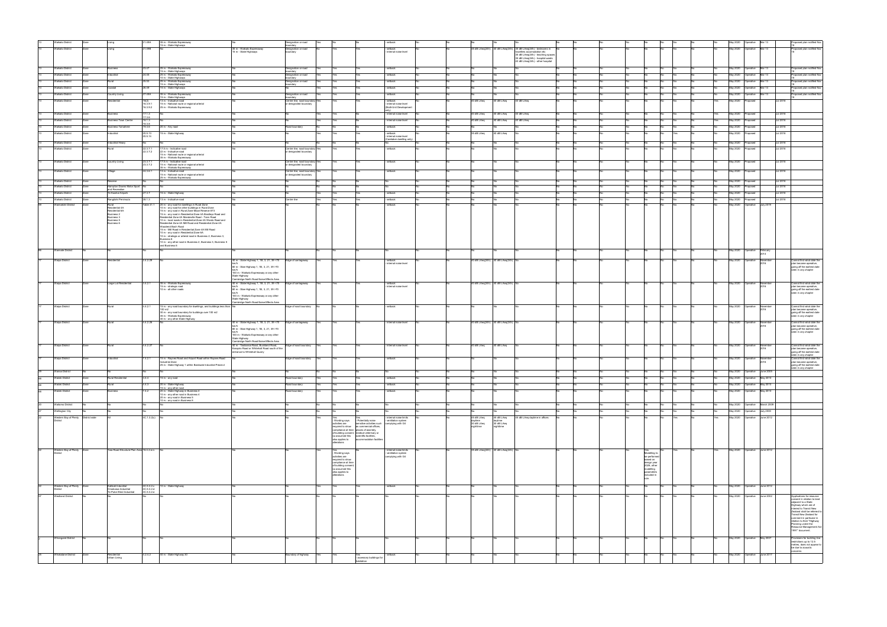|    | Waikato Distric                        |      |                                            | 1.49A                    | 35 m - Waikato Expressway                                                                                   |                                                                                  | Designation or road                     |                                            |                                                     | setback                                        |    |                                    |                                    |                                                                                            |  |    |                            |     |    |     | May 2020        | perative                     | Mar 13           |                 | Proposed plan notified Nov                                                        |
|----|----------------------------------------|------|--------------------------------------------|--------------------------|-------------------------------------------------------------------------------------------------------------|----------------------------------------------------------------------------------|-----------------------------------------|--------------------------------------------|-----------------------------------------------------|------------------------------------------------|----|------------------------------------|------------------------------------|--------------------------------------------------------------------------------------------|--|----|----------------------------|-----|----|-----|-----------------|------------------------------|------------------|-----------------|-----------------------------------------------------------------------------------|
|    |                                        |      |                                            |                          | 15 m - State Highways                                                                                       |                                                                                  | oundary                                 |                                            |                                                     |                                                |    |                                    |                                    |                                                                                            |  |    |                            |     |    |     |                 |                              |                  |                 |                                                                                   |
|    | Waikato District                       | Zone | pnivi.                                     | 1.49B                    |                                                                                                             | 35 m - Waikato Expressway<br>15 m - State Highways                               | Designation or road<br>undary           |                                            |                                                     | - setback<br>internal noise level              |    |                                    |                                    | 35 dB LAeq(24h) 40 dB LAeq(24h) 35 dB LAeq(24h) - bedrooms in<br>avellers accomodation etc |  |    |                            |     |    |     | May 2020        | Operative                    | Mar 13           |                 | Proposed plan notified Nov                                                        |
|    |                                        |      |                                            |                          |                                                                                                             |                                                                                  |                                         |                                            |                                                     |                                                |    |                                    |                                    | 35 dB LAeq(24h) - teaching spaces                                                          |  |    |                            |     |    |     |                 |                              |                  |                 |                                                                                   |
|    |                                        |      |                                            |                          |                                                                                                             |                                                                                  |                                         |                                            |                                                     |                                                |    |                                    |                                    | 35 dB LAeg(24h) - hospital wards<br>40 dB LAeq(24h) - other hospital                       |  |    |                            |     |    |     |                 |                              |                  |                 |                                                                                   |
|    |                                        |      |                                            |                          |                                                                                                             |                                                                                  |                                         |                                            |                                                     |                                                |    |                                    |                                    |                                                                                            |  |    |                            |     |    |     |                 |                              |                  |                 |                                                                                   |
|    | Waikato Distric                        |      | usiness                                    | 23.47                    | 25 m - Waikato Expressway<br>15 m - State Highways                                                          |                                                                                  | Designation or road<br>oundary          |                                            |                                                     | setback                                        |    |                                    |                                    |                                                                                            |  |    |                            |     |    |     | May 2020        | Operative                    | Mar 13           |                 | oposed plan notified Nov                                                          |
|    | <b>Waikato District</b>                | 7one | ndustrial                                  | 24.45                    | 25 m - Waikato Expressway                                                                                   |                                                                                  | Designation or road                     |                                            |                                                     | setback                                        |    |                                    |                                    |                                                                                            |  |    |                            |     |    |     | May 2020        | Operative                    | Mar 13           |                 | Proposed plan notified Nov                                                        |
|    | <b>Waikato District</b>                |      | Rural                                      | 25.53                    | 10 m - State Highways<br>25 m - Waikato Expressway                                                          |                                                                                  | oundary<br>besignation or road          |                                            |                                                     | setback                                        |    |                                    |                                    |                                                                                            |  |    |                            |     |    |     | May 2020        | Operative                    | Mar 13           |                 | Proposed plan notified Nov                                                        |
|    |                                        |      |                                            |                          | 15 m - State Highways                                                                                       |                                                                                  | oundary                                 |                                            |                                                     |                                                |    |                                    |                                    |                                                                                            |  |    |                            |     |    |     |                 |                              |                  |                 |                                                                                   |
|    | Waikato District                       |      | Coastal                                    | 6.49                     | 15 m - State Highways                                                                                       |                                                                                  |                                         |                                            |                                                     | setback                                        |    |                                    |                                    |                                                                                            |  |    |                            |     |    |     | May 2020        | Operative                    | Mar 13           |                 | Proposed plan notified Nov                                                        |
|    | Vaikato District                       |      | Country Living                             | 7.49A                    | 35 m - Waikato Expressway                                                                                   |                                                                                  | Designation or road                     |                                            |                                                     | setback                                        |    |                                    |                                    |                                                                                            |  |    |                            |     |    |     | May 2020        | perative                     | Mar 13           |                 | Proposed plan notified Nov                                                        |
|    | Vaikato District                       |      | dential                                    |                          | 15 m - State Highways<br>13 m - Indicative road                                                             |                                                                                  | undarv<br>Centre line, road boundary Ye |                                            |                                                     |                                                |    | 40 dB LAeq                         | 40 dB LAeq                         | 40 dB LAeq                                                                                 |  |    |                            |     |    |     | May 2020        | posed                        |                  | Jul 2018        |                                                                                   |
|    |                                        |      |                                            | 16391                    | 15 m - National route or regional arterial                                                                  |                                                                                  | or designated boundary                  |                                            |                                                     | setback<br>- internal noise level              |    |                                    |                                    |                                                                                            |  |    |                            |     |    |     |                 |                              |                  |                 |                                                                                   |
|    |                                        |      |                                            | 16.3.9.2                 | 25 m - Waikato Expressway                                                                                   |                                                                                  |                                         |                                            |                                                     | (Multi-Unit Developmen                         |    |                                    |                                    |                                                                                            |  |    |                            |     |    |     |                 |                              |                  |                 |                                                                                   |
|    | <b>Waikato District</b>                |      | usiness                                    | 17.1.3                   |                                                                                                             |                                                                                  |                                         |                                            |                                                     | - internal noise level                         |    | 40 dB LAeq                         | 40 dB LAeq                         | 40 dB LAeq                                                                                 |  |    |                            |     |    |     | May 2020        |                              |                  | Jul 2018        |                                                                                   |
|    | <b>Waikato District</b>                |      | <b>Business Town Centre</b>                | 17.3.6<br>18.1.3         |                                                                                                             |                                                                                  |                                         |                                            |                                                     | - internal noise level                         |    |                                    |                                    |                                                                                            |  |    |                            |     |    |     |                 | oposed                       |                  |                 |                                                                                   |
|    |                                        |      |                                            | 8.3.8                    |                                                                                                             |                                                                                  |                                         |                                            |                                                     |                                                |    | 40 dB LAeq                         | 40 dB LAeq                         | 40 dB LAeq                                                                                 |  |    |                            |     |    |     | May 2020        |                              |                  | <b>Jul 2018</b> |                                                                                   |
|    | <b>Waikato District</b>                |      | Business Tamahere                          | 19.3.6                   | 20 m - Any road                                                                                             |                                                                                  | Road boundary                           |                                            |                                                     | setback                                        |    |                                    |                                    |                                                                                            |  |    |                            |     |    |     | May 2020        | posed                        |                  | <b>Jul 2018</b> |                                                                                   |
|    | <b>Waikato District</b>                |      | ndustrial                                  | 20.5.13                  | 15 m - State Highway                                                                                        |                                                                                  |                                         |                                            |                                                     | setback                                        |    | 35 dB LAeq                         | 40 dB LAeq                         |                                                                                            |  |    |                            |     |    |     | May 2020        | oposed                       |                  | <b>Jul 2018</b> |                                                                                   |
|    |                                        |      |                                            | 20.5.14                  |                                                                                                             |                                                                                  |                                         |                                            |                                                     | internal noise level<br>(Caretaker dwelling on |    |                                    |                                    |                                                                                            |  |    |                            |     |    |     |                 |                              |                  |                 |                                                                                   |
|    | <b>Waikato District</b>                | Zone | Industrial Heavy                           |                          |                                                                                                             |                                                                                  |                                         |                                            |                                                     |                                                |    |                                    |                                    |                                                                                            |  |    |                            |     |    |     | May 2020        | Proposed                     |                  | <b>Jul 2018</b> |                                                                                   |
|    | <b>Naikato District</b>                |      |                                            | 22.3.7.1                 | 17.5 m - Indicative road                                                                                    |                                                                                  | Centre line, road boundary Yo           |                                            |                                                     | setback                                        |    |                                    |                                    |                                                                                            |  |    |                            |     |    |     | May 2020        | oosed                        |                  | <b>Jul 2018</b> |                                                                                   |
|    |                                        |      |                                            | 22.3.7.2                 | 22 m - Indicative road<br>15 m - National route or regional arterial                                        |                                                                                  | or designated boundary                  |                                            |                                                     |                                                |    |                                    |                                    |                                                                                            |  |    |                            |     |    |     |                 |                              |                  |                 |                                                                                   |
|    |                                        |      |                                            |                          | 35 m - Waikato Expressway                                                                                   |                                                                                  |                                         |                                            |                                                     |                                                |    |                                    |                                    |                                                                                            |  |    |                            |     |    |     |                 |                              |                  |                 |                                                                                   |
|    | <b>Naikato District</b>                | Zone | Country Living                             | 23.3.7.1                 | 17.5 m - Indicative road                                                                                    |                                                                                  | Centre line, road boundary Yo           |                                            |                                                     | setback                                        |    |                                    |                                    |                                                                                            |  |    |                            |     |    |     | May 2020        | Proposed                     |                  | <b>Jul 2018</b> |                                                                                   |
|    |                                        |      |                                            | 23.3.7.2                 | 15 m - National route or regional arterial<br>35 m - Waikato Expressway                                     |                                                                                  | or designated boundary                  |                                            |                                                     |                                                |    |                                    |                                    |                                                                                            |  |    |                            |     |    |     |                 |                              |                  |                 |                                                                                   |
|    | Vaikato Distric                        |      | /illage                                    | 24.3.6.1                 | 13 m - Indicative road                                                                                      |                                                                                  | Centre line, road boundary              |                                            |                                                     | setback                                        |    |                                    |                                    |                                                                                            |  |    |                            |     |    |     | May 2020        |                              |                  | <b>Jul 2018</b> |                                                                                   |
|    |                                        |      |                                            |                          | 15 m - National route or regional arterial<br>25 m - Waikato Expressway                                     |                                                                                  | or designated boundary                  |                                            |                                                     |                                                |    |                                    |                                    |                                                                                            |  |    |                            |     |    |     |                 |                              |                  |                 |                                                                                   |
|    | <b>Waikato Distric</b>                 |      |                                            |                          |                                                                                                             |                                                                                  |                                         |                                            |                                                     |                                                |    |                                    |                                    |                                                                                            |  |    |                            |     |    |     | May 2020        |                              |                  | <b>Jul 2018</b> |                                                                                   |
|    | Vaikato Distric                        |      | lampton Downs Motor Spor                   |                          |                                                                                                             |                                                                                  |                                         |                                            |                                                     |                                                |    |                                    |                                    |                                                                                            |  |    |                            |     |    |     | May 2020        | posed                        |                  | <b>Jul 2018</b> |                                                                                   |
|    | <b>Waikato District</b>                |      | and Recreation<br>Te Kowhai Airpark        |                          | 15 m - State Highway                                                                                        |                                                                                  |                                         |                                            |                                                     | setback                                        |    |                                    |                                    |                                                                                            |  |    |                            |     |    |     | May 2020        | posed                        |                  | Jul 2018        |                                                                                   |
|    |                                        |      |                                            |                          |                                                                                                             |                                                                                  |                                         |                                            |                                                     |                                                |    |                                    |                                    |                                                                                            |  |    |                            |     |    |     |                 |                              |                  |                 |                                                                                   |
|    | Waikato District                       |      | Rangitahi Peninsula                        | 28.1.3                   | 13 m - Indicative road                                                                                      |                                                                                  | Centre line                             |                                            |                                                     | setback                                        |    |                                    |                                    |                                                                                            |  |    | No.                        |     |    |     | May 2020        | Proposed                     |                  | <b>Jul 2018</b> |                                                                                   |
|    | Waimakiriri District                   |      | Rural                                      | able 31.1                | 20 m - any road for dwellings in Rural Zone<br>10 m - any road for other buildings in Rural Zone            |                                                                                  |                                         |                                            |                                                     | setback                                        |    |                                    |                                    |                                                                                            |  |    |                            |     |    |     | May 2020        | Operative                    | <b>July 2019</b> |                 |                                                                                   |
|    |                                        |      | Residential 4A<br>Residential 6A           |                          | 15 m - any road in Rural Zone Maori Reserve 873                                                             |                                                                                  |                                         |                                            |                                                     |                                                |    |                                    |                                    |                                                                                            |  |    |                            |     |    |     |                 |                              |                  |                 |                                                                                   |
|    |                                        |      | <b>Business 2</b>                          |                          | 15 m - any road in Residential Zone 4A Bradleys Road and                                                    |                                                                                  |                                         |                                            |                                                     |                                                |    |                                    |                                    |                                                                                            |  |    |                            |     |    |     |                 |                              |                  |                 |                                                                                   |
|    |                                        |      | Business 3<br>Business 5                   |                          | Residential Zone 4A Mandeville Road - Tram Road<br>10 m - local roads in Residential Zone 4A Wards Road and |                                                                                  |                                         |                                            |                                                     |                                                |    |                                    |                                    |                                                                                            |  |    |                            |     |    |     |                 |                              |                  |                 |                                                                                   |
|    |                                        |      | Business 6                                 |                          | Residential Zone 4A Mill Road and Residential Zone 4A                                                       |                                                                                  |                                         |                                            |                                                     |                                                |    |                                    |                                    |                                                                                            |  |    |                            |     |    |     |                 |                              |                  |                 |                                                                                   |
|    |                                        |      |                                            |                          | Woodend Bach Road<br>15 m - Mill Road in Residential Zone 4A Mill Road                                      |                                                                                  |                                         |                                            |                                                     |                                                |    |                                    |                                    |                                                                                            |  |    |                            |     |    |     |                 |                              |                  |                 |                                                                                   |
|    |                                        |      |                                            |                          | 10 m - any road in Residential Zone 6A                                                                      |                                                                                  |                                         |                                            |                                                     |                                                |    |                                    |                                    |                                                                                            |  |    |                            |     |    |     |                 |                              |                  |                 |                                                                                   |
|    |                                        |      |                                            |                          | 10 m - strategic or arterial road in Business 2, Business 3,<br>Business 6                                  |                                                                                  |                                         |                                            |                                                     |                                                |    |                                    |                                    |                                                                                            |  |    |                            |     |    |     |                 |                              |                  |                 |                                                                                   |
|    |                                        |      |                                            |                          | 10 m - any other road in Business 2, Business 3, Business 5<br>and Business 6                               |                                                                                  |                                         |                                            |                                                     |                                                |    |                                    |                                    |                                                                                            |  |    |                            |     |    |     |                 |                              |                  |                 |                                                                                   |
|    |                                        |      |                                            |                          |                                                                                                             |                                                                                  |                                         |                                            |                                                     |                                                |    |                                    |                                    |                                                                                            |  |    |                            |     |    |     |                 |                              |                  |                 |                                                                                   |
|    | <b>Waimate District</b>                |      |                                            |                          |                                                                                                             |                                                                                  |                                         |                                            |                                                     |                                                |    |                                    |                                    |                                                                                            |  |    |                            |     |    |     | May 2020        | Operative                    | February<br>2014 |                 |                                                                                   |
|    |                                        |      |                                            |                          |                                                                                                             |                                                                                  |                                         |                                            |                                                     |                                                |    |                                    |                                    |                                                                                            |  |    |                            |     |    |     |                 |                              |                  |                 |                                                                                   |
|    | Waipa District                         |      | sidential                                  | 2.4.2.29                 |                                                                                                             | 40 m - State Highway 1, 1B, 3, 21, 39 <70 Edge of carriageway                    |                                         |                                            |                                                     | setback<br>internal noise level                |    | 40 dB LAeq(24h) 40 dB LAeq(24h)    |                                    |                                                                                            |  |    |                            |     |    |     | May 2020        | perative                     | November         |                 | Cannot find what date the                                                         |
|    |                                        |      |                                            |                          |                                                                                                             | 80 m - Stae Highway 1, 1B, 3, 21, 39 >70                                         |                                         |                                            |                                                     |                                                |    |                                    |                                    |                                                                                            |  |    |                            |     |    |     |                 |                              |                  |                 | plan became operative,<br>going off the earliest date                             |
|    |                                        |      |                                            |                          |                                                                                                             | 100 m - Waikato Expressway or any other                                          |                                         |                                            |                                                     |                                                |    |                                    |                                    |                                                                                            |  |    |                            |     |    |     |                 |                              |                  |                 | seen in any chapter                                                               |
|    |                                        |      |                                            |                          |                                                                                                             | State Highway<br>Cambridge North Road Noise Effects Area                         |                                         |                                            |                                                     |                                                |    |                                    |                                    |                                                                                            |  |    |                            |     |    |     |                 |                              |                  |                 |                                                                                   |
|    | <b>Waipa District</b>                  | Zone | Large Lot Residential                      | 3.4.2.1                  | 35 m - Walkato Expressway                                                                                   | 40 m - State Highway 1, 1B, 3, 21, 39 <70 Edge of carriageway                    |                                         | Yes                                        |                                                     | - setback                                      |    | 40 dB LAeq(24h) 40 dB LAeq(24h) No |                                    |                                                                                            |  |    |                            |     |    |     | May 2020        | Operative                    | Novembe          |                 | Cannot find what date the                                                         |
|    |                                        |      |                                            |                          | 15 m - strategic road                                                                                       |                                                                                  |                                         |                                            |                                                     | internal noise level                           |    |                                    |                                    |                                                                                            |  |    |                            |     |    |     |                 |                              |                  |                 | plan became operative,                                                            |
|    |                                        |      |                                            |                          | 10 m - all other roads                                                                                      | 80 m - Stae Highway 1, 1B, 3, 21, 39 >70                                         |                                         |                                            |                                                     |                                                |    |                                    |                                    |                                                                                            |  |    |                            |     |    |     |                 |                              |                  |                 | going off the earliest date<br>seen in any chapter                                |
|    |                                        |      |                                            |                          |                                                                                                             | 100 m - Waikato Expressway or any other                                          |                                         |                                            |                                                     |                                                |    |                                    |                                    |                                                                                            |  |    |                            |     |    |     |                 |                              |                  |                 |                                                                                   |
|    |                                        |      |                                            |                          |                                                                                                             | State Highway<br>Cambridge North Road Noise Effects Area                         |                                         |                                            |                                                     |                                                |    |                                    |                                    |                                                                                            |  |    |                            |     |    |     |                 |                              |                  |                 |                                                                                   |
|    | Waipa District                         |      |                                            | 4.4.2.1                  | 15 m - any road boundary for dwellings, and buildings less than N                                           |                                                                                  | Edge of road boundary                   |                                            |                                                     | setback                                        |    |                                    |                                    |                                                                                            |  |    |                            |     |    |     | May 2020        | Operative                    |                  |                 | Cannot find what date the                                                         |
|    |                                        |      |                                            |                          | 100 m2<br>30 m - any road boundary for buildings over 100 m2                                                |                                                                                  |                                         |                                            |                                                     |                                                |    |                                    |                                    |                                                                                            |  |    |                            |     |    |     |                 |                              | 2016             |                 | plan became operative,<br>going off the earliest date                             |
|    |                                        |      |                                            |                          | 35 m - Walkato Expressway                                                                                   |                                                                                  |                                         |                                            |                                                     |                                                |    |                                    |                                    |                                                                                            |  |    |                            |     |    |     |                 |                              |                  |                 | seen in any chapter                                                               |
|    |                                        |      |                                            |                          | 30 m - any other State Highway                                                                              |                                                                                  |                                         |                                            |                                                     |                                                |    |                                    |                                    |                                                                                            |  |    |                            |     |    |     |                 |                              |                  |                 |                                                                                   |
|    | Waipa District                         | Zone | Rural                                      | 4.4.2.26                 |                                                                                                             | 40 m - State Highway 1, 1B, 3, 21, 39 <70 Edge of carriageway                    |                                         |                                            |                                                     | - internal noise level                         |    | 40 dB LAeq(24h) 40 dB LAeq(24h) No |                                    |                                                                                            |  |    |                            |     |    |     |                 | May 2020 Operative           | November         |                 | Cannot find what date the<br>plan became operative,                               |
|    |                                        |      |                                            |                          |                                                                                                             | 80 m - Stae Highway 1, 1B, 3, 21, 39 >70                                         |                                         |                                            |                                                     |                                                |    |                                    |                                    |                                                                                            |  |    |                            |     |    |     |                 |                              |                  |                 | going off the earliest date                                                       |
|    |                                        |      |                                            |                          |                                                                                                             | 100 m - Waikato Expressway or any other                                          |                                         |                                            |                                                     |                                                |    |                                    |                                    |                                                                                            |  |    |                            |     |    |     |                 |                              |                  |                 | seen in any chapter                                                               |
|    |                                        |      |                                            |                          |                                                                                                             | State Highway                                                                    |                                         |                                            |                                                     |                                                |    |                                    |                                    |                                                                                            |  |    |                            |     |    |     |                 |                              |                  |                 |                                                                                   |
|    |                                        | Zone |                                            |                          |                                                                                                             | Cambridge North Road Noise Effects Area<br>40 m - Taotaoroa Road, Buckland Road, |                                         | Yes                                        | Yes                                                 |                                                |    |                                    |                                    |                                                                                            |  |    |                            |     |    |     |                 |                              |                  |                 |                                                                                   |
|    | Waipa District                         |      | Rural                                      | 4.4.2.27                 |                                                                                                             | Karapiro Road or Whitehall Road south of the                                     | Edge of road boundary                   |                                            |                                                     | internal noise level                           |    | 40 dB LAeq                         | 40 dB LAeq                         |                                                                                            |  |    |                            |     |    |     | May 2020        | Operative                    | November         |                 | Cannot find what date the<br>plan became operative,                               |
|    |                                        |      |                                            |                          |                                                                                                             | entrance to Whitehall Quarry                                                     |                                         |                                            |                                                     |                                                |    |                                    |                                    |                                                                                            |  |    |                            |     |    |     |                 |                              |                  |                 | going off the earliest date<br>seen in any chapter                                |
|    | Waipa District                         |      | ndustrial                                  | 7.4.2.1                  | 15 m - Raynes Road and Airport Road within Raynes Road                                                      |                                                                                  | Edge of road boundary                   |                                            |                                                     | setback                                        |    |                                    |                                    |                                                                                            |  |    |                            |     |    |     | May 2020        | Operative                    |                  |                 | Cannot find what date the                                                         |
|    |                                        |      |                                            |                          | ndustrial Zone<br>25 m - State Highway 1 within Bardowie Industrial Precinct                                |                                                                                  |                                         |                                            |                                                     |                                                |    |                                    |                                    |                                                                                            |  |    |                            |     |    |     |                 |                              |                  |                 | plan became operative,<br>going off the earliest date                             |
|    |                                        |      |                                            |                          |                                                                                                             |                                                                                  |                                         |                                            |                                                     |                                                |    |                                    |                                    |                                                                                            |  |    |                            |     |    |     |                 |                              |                  |                 | seen in any chapter                                                               |
| 29 | Wairoa District                        | No   |                                            |                          |                                                                                                             |                                                                                  |                                         |                                            | <b>No</b>                                           |                                                | No | No                                 | No                                 |                                                                                            |  | No | No<br>No                   | No. | No | No  |                 | May 2020 Operative June 2005 |                  |                 |                                                                                   |
|    | Wataki District                        | Zone | Rural Residential                          | 3.4.4                    | 15 m - any road                                                                                             |                                                                                  | Road boundary                           |                                            | Yes                                                 | - setback                                      |    |                                    |                                    |                                                                                            |  |    |                            |     |    |     | May 2020        | Operative                    | <b>May 2010</b>  |                 |                                                                                   |
|    |                                        |      |                                            |                          |                                                                                                             |                                                                                  |                                         |                                            |                                                     |                                                |    |                                    |                                    |                                                                                            |  |    |                            |     |    |     |                 |                              |                  |                 |                                                                                   |
|    | Vataki District                        |      | Rural                                      | 4.4.3                    | 20 m - State Highway<br>15 m - any other road                                                               |                                                                                  | Road boundary                           |                                            |                                                     | setback                                        |    |                                    |                                    |                                                                                            |  |    |                            |     |    |     | May 2020        | Operative                    | May 2010         |                 |                                                                                   |
|    | <b>Nataki District</b>                 |      |                                            |                          | 20 m - State Highway in Business 4                                                                          |                                                                                  | oad boundary                            |                                            |                                                     | setback                                        |    |                                    |                                    |                                                                                            |  |    |                            |     |    |     | May 2020        | perative                     | Aay 2010         |                 |                                                                                   |
|    |                                        |      |                                            |                          | 10 m - any other road in Business 4<br>20 m - any road in Business 5                                        |                                                                                  |                                         |                                            |                                                     |                                                |    |                                    |                                    |                                                                                            |  |    |                            |     |    |     |                 |                              |                  |                 |                                                                                   |
|    |                                        |      |                                            |                          | 10 m - any road in Business 6                                                                               |                                                                                  |                                         |                                            |                                                     |                                                |    |                                    |                                    |                                                                                            |  |    |                            |     |    |     |                 |                              |                  |                 |                                                                                   |
|    | Waitomo District                       |      |                                            |                          |                                                                                                             |                                                                                  |                                         |                                            |                                                     |                                                |    |                                    |                                    |                                                                                            |  |    |                            |     |    |     | May 2020        | Operative                    | March 2009       |                 |                                                                                   |
|    | Wellington City                        |      |                                            |                          |                                                                                                             |                                                                                  |                                         |                                            |                                                     |                                                |    |                                    |                                    |                                                                                            |  |    |                            |     |    |     | May 2020        | Operative                    | <b>July 2000</b> |                 |                                                                                   |
|    | Western Bay of Plenty   District wide  |      |                                            | 4C.1.3.2(c)              |                                                                                                             |                                                                                  |                                         |                                            |                                                     | internal noise limits                          |    | 45 dB LAeq                         | 45 dB LAeq                         | 45 dB LAeq daytime in offices                                                              |  |    |                            |     |    |     | <b>May 2020</b> | Operative                    | <b>June 2012</b> |                 |                                                                                   |
|    | District                               |      |                                            |                          |                                                                                                             |                                                                                  |                                         | Wording says                               | - Potentially noise                                 | - ventilation system                           |    | daytime                            | daytime                            |                                                                                            |  |    |                            |     |    |     |                 |                              |                  |                 |                                                                                   |
|    |                                        |      |                                            |                          |                                                                                                             |                                                                                  |                                         | activities are<br>required to show         | sensitive activities such<br>as commercial offices, | complying with G4                              |    | 30 dB LAeq<br>nighttime            | 30 dB LAeq<br>nighttime            |                                                                                            |  |    |                            |     |    |     |                 |                              |                  |                 |                                                                                   |
|    |                                        |      |                                            |                          |                                                                                                             |                                                                                  |                                         | compliance at time places of assmbly,      |                                                     |                                                |    |                                    |                                    |                                                                                            |  |    |                            |     |    |     |                 |                              |                  |                 |                                                                                   |
|    |                                        |      |                                            |                          |                                                                                                             |                                                                                  |                                         | so assumed this scientific facilities,     | of building consent, medical veterinary or          |                                                |    |                                    |                                    |                                                                                            |  |    |                            |     |    |     |                 |                              |                  |                 |                                                                                   |
|    |                                        |      |                                            |                          |                                                                                                             |                                                                                  |                                         | also applies to                            | accommodation facilities                            |                                                |    |                                    |                                    |                                                                                            |  |    |                            |     |    |     |                 |                              |                  |                 |                                                                                   |
|    |                                        |      |                                            |                          |                                                                                                             |                                                                                  |                                         | alterations                                |                                                     |                                                |    |                                    |                                    |                                                                                            |  |    |                            |     |    |     |                 |                              |                  |                 |                                                                                   |
|    | Western Bay of Plenty Zone             |      |                                            |                          |                                                                                                             |                                                                                  |                                         |                                            |                                                     |                                                |    |                                    |                                    |                                                                                            |  |    |                            |     |    |     |                 |                              | June 2012        |                 |                                                                                   |
|    |                                        |      | Tara Road Structure Plan Area 16.4.2.e.iv  |                          |                                                                                                             |                                                                                  |                                         |                                            |                                                     | - internal noise limits                        |    |                                    | 35 dB LAeq(24h) 40 dB LAeq(24h) No |                                                                                            |  |    |                            |     |    | Yes |                 | May 2020 Operative           |                  |                 |                                                                                   |
|    | <b>District</b>                        |      |                                            |                          |                                                                                                             |                                                                                  |                                         | Wording says                               |                                                     | - ventilation system                           |    |                                    |                                    |                                                                                            |  |    | Modelling to               |     |    |     |                 |                              |                  |                 |                                                                                   |
|    |                                        |      |                                            |                          |                                                                                                             |                                                                                  |                                         | activities are<br>required to show         |                                                     | complying with G4                              |    |                                    |                                    |                                                                                            |  |    | be performe<br>based on    |     |    |     |                 |                              |                  |                 |                                                                                   |
|    |                                        |      |                                            |                          |                                                                                                             |                                                                                  |                                         | compliance at time<br>of building consent, |                                                     |                                                |    |                                    |                                    |                                                                                            |  |    | design year<br>2026, other |     |    |     |                 |                              |                  |                 |                                                                                   |
|    |                                        |      |                                            |                          |                                                                                                             |                                                                                  |                                         | so assumed this                            |                                                     |                                                |    |                                    |                                    |                                                                                            |  |    | modelling                  |     |    |     |                 |                              |                  |                 |                                                                                   |
|    |                                        |      |                                            |                          |                                                                                                             |                                                                                  |                                         | also applies to                            |                                                     |                                                |    |                                    |                                    |                                                                                            |  |    | parameters                 |     |    |     |                 |                              |                  |                 |                                                                                   |
|    |                                        |      |                                            |                          |                                                                                                             |                                                                                  |                                         | alterations                                |                                                     |                                                |    |                                    |                                    |                                                                                            |  |    | included in                |     |    |     |                 |                              |                  |                 |                                                                                   |
|    |                                        |      |                                            |                          |                                                                                                             |                                                                                  |                                         |                                            |                                                     |                                                |    |                                    |                                    |                                                                                            |  |    |                            |     |    |     |                 |                              |                  |                 |                                                                                   |
|    | Western Bay of Plenty Zone<br>District |      | Katikati Industrial<br>Omokoroa Industrial | 4C.5.3.2.c<br>4C.5.3.2.d | 10 m - State Highway                                                                                        |                                                                                  |                                         |                                            |                                                     | setback                                        |    |                                    |                                    |                                                                                            |  |    |                            |     |    |     | May 2020        | Operative                    | June 2012        |                 |                                                                                   |
|    |                                        |      | Te Puke West Industrial                    | 4C.5.3.2.e               |                                                                                                             |                                                                                  |                                         |                                            |                                                     |                                                |    |                                    |                                    |                                                                                            |  |    |                            |     |    |     |                 |                              |                  |                 |                                                                                   |
|    | <b>Westland District</b>               |      |                                            |                          |                                                                                                             |                                                                                  |                                         |                                            |                                                     |                                                |    |                                    |                                    |                                                                                            |  |    |                            |     |    |     |                 | May 2020 Operative June 2002 |                  |                 | Applications for resource                                                         |
|    |                                        |      |                                            |                          |                                                                                                             |                                                                                  |                                         |                                            |                                                     |                                                |    |                                    |                                    |                                                                                            |  |    |                            |     |    |     |                 |                              |                  |                 | consent in relation to land<br>adjacent to a State                                |
|    |                                        |      |                                            |                          |                                                                                                             |                                                                                  |                                         |                                            |                                                     |                                                |    |                                    |                                    |                                                                                            |  |    |                            |     |    |     |                 |                              |                  |                 | Highway which are of                                                              |
|    |                                        |      |                                            |                          |                                                                                                             |                                                                                  |                                         |                                            |                                                     |                                                |    |                                    |                                    |                                                                                            |  |    |                            |     |    |     |                 |                              |                  |                 | interest to Transit New<br>Zealand shall be referred to                           |
|    |                                        |      |                                            |                          |                                                                                                             |                                                                                  |                                         |                                            |                                                     |                                                |    |                                    |                                    |                                                                                            |  |    |                            |     |    |     |                 |                              |                  |                 | Transit New Zealand for                                                           |
|    |                                        |      |                                            |                          |                                                                                                             |                                                                                  |                                         |                                            |                                                     |                                                |    |                                    |                                    |                                                                                            |  |    |                            |     |    |     |                 |                              |                  |                 | comment in particular in<br>relation to their "Highway                            |
|    |                                        |      |                                            |                          |                                                                                                             |                                                                                  |                                         |                                            |                                                     |                                                |    |                                    |                                    |                                                                                            |  |    |                            |     |    |     |                 |                              |                  |                 | Planning under the                                                                |
|    |                                        |      |                                            |                          |                                                                                                             |                                                                                  |                                         |                                            |                                                     |                                                |    |                                    |                                    |                                                                                            |  |    |                            |     |    |     |                 |                              |                  |                 | 1991" document.                                                                   |
|    |                                        |      |                                            |                          |                                                                                                             |                                                                                  |                                         |                                            |                                                     |                                                |    |                                    |                                    |                                                                                            |  |    |                            |     |    |     |                 |                              |                  |                 |                                                                                   |
|    | Vhangarei District                     |      |                                            |                          |                                                                                                             |                                                                                  |                                         |                                            |                                                     |                                                |    |                                    |                                    |                                                                                            |  |    |                            |     |    |     | May 2020        | Operative                    | May 2007         |                 | Resource Management Act<br>rovisions for building line<br>restrictions up to 12.5 |
|    |                                        |      |                                            |                          |                                                                                                             |                                                                                  |                                         |                                            |                                                     |                                                |    |                                    |                                    |                                                                                            |  |    |                            |     |    |     |                 |                              |                  |                 |                                                                                   |
|    |                                        |      |                                            |                          |                                                                                                             |                                                                                  |                                         |                                            |                                                     |                                                |    |                                    |                                    |                                                                                            |  |    |                            |     |    |     |                 |                              |                  | concerns        | be due to acoustic                                                                |
|    | <b>Whakatane District</b>              | Zone | Residential<br>Urban Living                | 4.2.4.2                  | 40 m - State Highway 30                                                                                     |                                                                                  | Boundary of highway                     |                                            | Yes<br>- accessory buildings for                    | - setback                                      |    |                                    |                                    |                                                                                            |  |    |                            |     |    |     |                 | May 2020 Operative           | June 2017        |                 | metres, does not appear to                                                        |